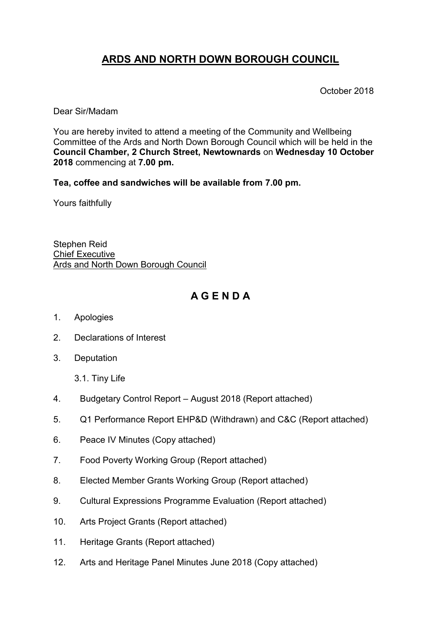# **ARDS AND NORTH DOWN BOROUGH COUNCIL**

October 2018

Dear Sir/Madam

You are hereby invited to attend a meeting of the Community and Wellbeing Committee of the Ards and North Down Borough Council which will be held in the **Council Chamber, 2 Church Street, Newtownards** on **Wednesday 10 October 2018** commencing at **7.00 pm.**

**Tea, coffee and sandwiches will be available from 7.00 pm.**

Yours faithfully

Stephen Reid Chief Executive Ards and North Down Borough Council

# **A G E N D A**

- 1. Apologies
- 2. Declarations of Interest
- 3. Deputation
	- 3.1. Tiny Life
- 4. Budgetary Control Report August 2018 (Report attached)
- 5. Q1 Performance Report EHP&D (Withdrawn) and C&C (Report attached)
- 6. Peace IV Minutes (Copy attached)
- 7. Food Poverty Working Group (Report attached)
- 8. Elected Member Grants Working Group (Report attached)
- 9. Cultural Expressions Programme Evaluation (Report attached)
- 10. Arts Project Grants (Report attached)
- 11. Heritage Grants (Report attached)
- 12. Arts and Heritage Panel Minutes June 2018 (Copy attached)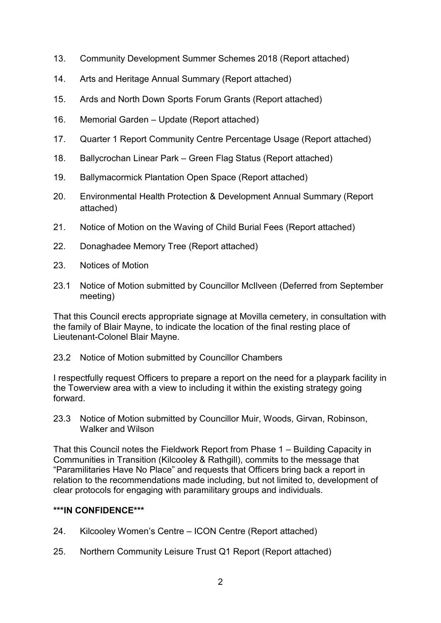- 13. Community Development Summer Schemes 2018 (Report attached)
- 14. Arts and Heritage Annual Summary (Report attached)
- 15. Ards and North Down Sports Forum Grants (Report attached)
- 16. Memorial Garden Update (Report attached)
- 17. Quarter 1 Report Community Centre Percentage Usage (Report attached)
- 18. Ballycrochan Linear Park Green Flag Status (Report attached)
- 19. Ballymacormick Plantation Open Space (Report attached)
- 20. Environmental Health Protection & Development Annual Summary (Report attached)
- 21. Notice of Motion on the Waving of Child Burial Fees (Report attached)
- 22. Donaghadee Memory Tree (Report attached)
- 23. Notices of Motion
- 23.1 Notice of Motion submitted by Councillor McIlveen (Deferred from September meeting)

That this Council erects appropriate signage at Movilla cemetery, in consultation with the family of Blair Mayne, to indicate the location of the final resting place of Lieutenant-Colonel Blair Mayne.

## 23.2 Notice of Motion submitted by Councillor Chambers

I respectfully request Officers to prepare a report on the need for a playpark facility in the Towerview area with a view to including it within the existing strategy going forward.

23.3 Notice of Motion submitted by Councillor Muir, Woods, Girvan, Robinson, Walker and Wilson

That this Council notes the Fieldwork Report from Phase 1 – Building Capacity in Communities in Transition (Kilcooley & Rathgill), commits to the message that "Paramilitaries Have No Place" and requests that Officers bring back a report in relation to the recommendations made including, but not limited to, development of clear protocols for engaging with paramilitary groups and individuals.

## **\*\*\*IN CONFIDENCE\*\*\***

- 24. Kilcooley Women's Centre ICON Centre (Report attached)
- 25. Northern Community Leisure Trust Q1 Report (Report attached)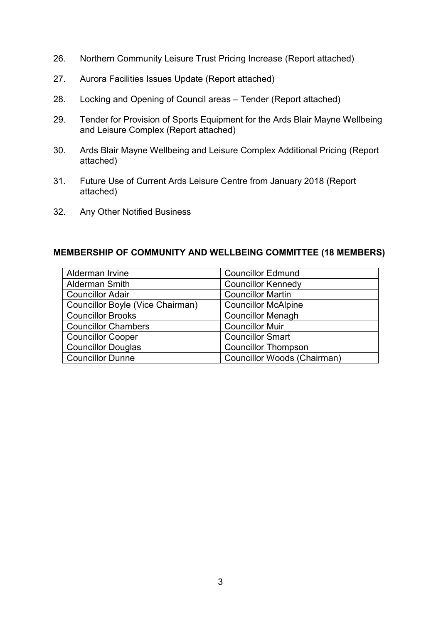- 26. Northern Community Leisure Trust Pricing Increase (Report attached)
- 27. Aurora Facilities Issues Update (Report attached)
- 28. Locking and Opening of Council areas Tender (Report attached)
- 29. Tender for Provision of Sports Equipment for the Ards Blair Mayne Wellbeing and Leisure Complex (Report attached)
- 30. Ards Blair Mayne Wellbeing and Leisure Complex Additional Pricing (Report attached)
- 31. Future Use of Current Ards Leisure Centre from January 2018 (Report attached)
- 32. Any Other Notified Business

#### **MEMBERSHIP OF COMMUNITY AND WELLBEING COMMITTEE (18 MEMBERS)**

| Alderman Irvine                  | <b>Councillor Edmund</b>           |
|----------------------------------|------------------------------------|
| <b>Alderman Smith</b>            | <b>Councillor Kennedy</b>          |
| <b>Councillor Adair</b>          | <b>Councillor Martin</b>           |
| Councillor Boyle (Vice Chairman) | <b>Councillor McAlpine</b>         |
| <b>Councillor Brooks</b>         | <b>Councillor Menagh</b>           |
| <b>Councillor Chambers</b>       | <b>Councillor Muir</b>             |
| <b>Councillor Cooper</b>         | <b>Councillor Smart</b>            |
| <b>Councillor Douglas</b>        | <b>Councillor Thompson</b>         |
| <b>Councillor Dunne</b>          | <b>Councillor Woods (Chairman)</b> |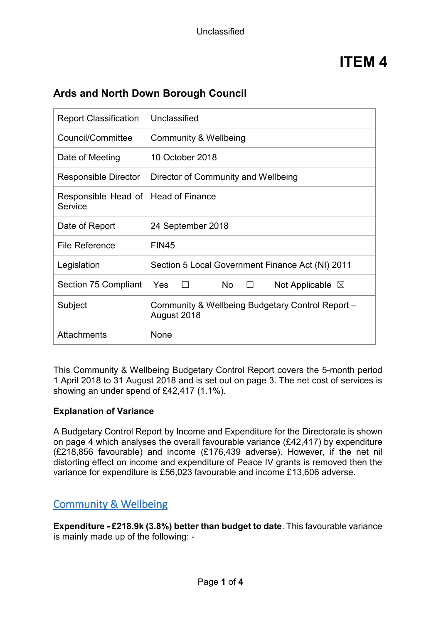| <b>Report Classification</b>   | Unclassified                                                    |
|--------------------------------|-----------------------------------------------------------------|
| Council/Committee              | Community & Wellbeing                                           |
| Date of Meeting                | 10 October 2018                                                 |
| <b>Responsible Director</b>    | Director of Community and Wellbeing                             |
| Responsible Head of<br>Service | <b>Head of Finance</b>                                          |
| Date of Report                 | 24 September 2018                                               |
| <b>File Reference</b>          | <b>FIN45</b>                                                    |
| Legislation                    | Section 5 Local Government Finance Act (NI) 2011                |
| Section 75 Compliant           | No<br><b>Yes</b><br>Not Applicable $\boxtimes$<br>$\perp$       |
| Subject                        | Community & Wellbeing Budgetary Control Report -<br>August 2018 |
| <b>Attachments</b>             | None                                                            |
|                                |                                                                 |

# **Ards and North Down Borough Council**

This Community & Wellbeing Budgetary Control Report covers the 5-month period 1 April 2018 to 31 August 2018 and is set out on page 3. The net cost of services is showing an under spend of £42,417 (1.1%).

#### **Explanation of Variance**

A Budgetary Control Report by Income and Expenditure for the Directorate is shown on page 4 which analyses the overall favourable variance (£42,417) by expenditure (£218,856 favourable) and income (£176,439 adverse). However, if the net nil distorting effect on income and expenditure of Peace IV grants is removed then the variance for expenditure is £56,023 favourable and income £13,606 adverse.

# Community & Wellbeing

**Expenditure - £218.9k (3.8%) better than budget to date**. This favourable variance is mainly made up of the following: -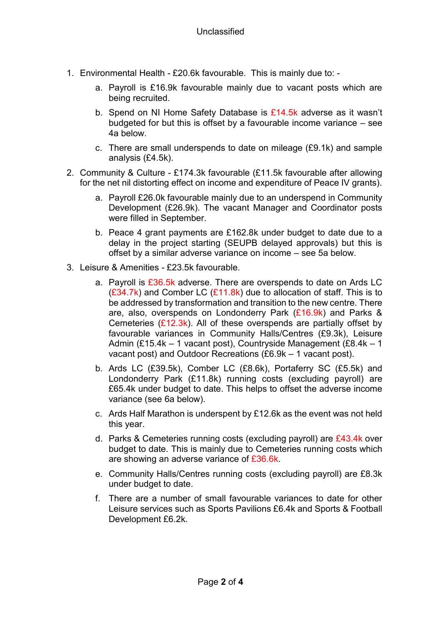- 1. Environmental Health £20.6k favourable. This is mainly due to:
	- a. Payroll is £16.9k favourable mainly due to vacant posts which are being recruited.
	- b. Spend on NI Home Safety Database is  $£14.5k$  adverse as it wasn't budgeted for but this is offset by a favourable income variance – see 4a below.
	- c. There are small underspends to date on mileage (£9.1k) and sample analysis (£4.5k).
- 2. Community & Culture £174.3k favourable (£11.5k favourable after allowing for the net nil distorting effect on income and expenditure of Peace IV grants).
	- a. Payroll £26.0k favourable mainly due to an underspend in Community Development (£26.9k). The vacant Manager and Coordinator posts were filled in September.
	- b. Peace 4 grant payments are £162.8k under budget to date due to a delay in the project starting (SEUPB delayed approvals) but this is offset by a similar adverse variance on income – see 5a below.
- 3. Leisure & Amenities £23.5k favourable.
	- a. Payroll is  $£36.5k$  adverse. There are overspends to date on Ards LC (£34.7k) and Comber LC ( $£11.8k$ ) due to allocation of staff. This is to be addressed by transformation and transition to the new centre. There are, also, overspends on Londonderry Park (£16.9k) and Parks & Cemeteries  $(E12.3k)$ . All of these overspends are partially offset by favourable variances in Community Halls/Centres (£9.3k), Leisure Admin (£15.4k – 1 vacant post), Countryside Management (£8.4k – 1 vacant post) and Outdoor Recreations (£6.9k – 1 vacant post).
	- b. Ards LC (£39.5k), Comber LC (£8.6k), Portaferry SC (£5.5k) and Londonderry Park (£11.8k) running costs (excluding payroll) are £65.4k under budget to date. This helps to offset the adverse income variance (see 6a below).
	- c. Ards Half Marathon is underspent by £12.6k as the event was not held this year.
	- d. Parks & Cemeteries running costs (excluding payroll) are  $£43.4k$  over budget to date. This is mainly due to Cemeteries running costs which are showing an adverse variance of £36.6k.
	- e. Community Halls/Centres running costs (excluding payroll) are £8.3k under budget to date.
	- f. There are a number of small favourable variances to date for other Leisure services such as Sports Pavilions £6.4k and Sports & Football Development £6.2k.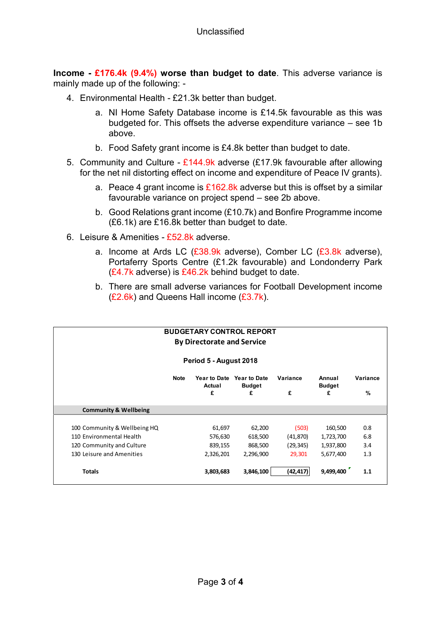**Income - £176.4k (9.4%) worse than budget to date**. This adverse variance is mainly made up of the following: -

- 4. Environmental Health £21.3k better than budget.
	- a. NI Home Safety Database income is £14.5k favourable as this was budgeted for. This offsets the adverse expenditure variance – see 1b above.
	- b. Food Safety grant income is £4.8k better than budget to date.
- 5. Community and Culture  $£144.9k$  adverse (£17.9k favourable after allowing for the net nil distorting effect on income and expenditure of Peace IV grants).
	- a. Peace 4 grant income is  $£162.8k$  adverse but this is offset by a similar favourable variance on project spend – see 2b above.
	- b. Good Relations grant income (£10.7k) and Bonfire Programme income (£6.1k) are £16.8k better than budget to date.
- 6. Leisure & Amenities £52.8k adverse.
	- a. Income at Ards LC  $(£38.9k$  adverse), Comber LC  $(£3.8k$  adverse), Portaferry Sports Centre (£1.2k favourable) and Londonderry Park  $(E4.7k$  adverse) is  $E46.2k$  behind budget to date.
	- b. There are small adverse variances for Football Development income  $(E2.6k)$  and Queens Hall income  $(E3.7k)$ .

| <b>BUDGETARY CONTROL REPORT</b><br><b>By Directorate and Service</b>                                               |             |                                           |                                           |                                           |                                                |                          |
|--------------------------------------------------------------------------------------------------------------------|-------------|-------------------------------------------|-------------------------------------------|-------------------------------------------|------------------------------------------------|--------------------------|
|                                                                                                                    |             | Period 5 - August 2018                    |                                           |                                           |                                                |                          |
|                                                                                                                    | <b>Note</b> | <b>Year to Date</b><br>Actual<br>£        | <b>Year to Date</b><br><b>Budget</b><br>£ | Variance<br>£                             | Annual<br><b>Budget</b><br>£                   | Variance<br>%            |
| <b>Community &amp; Wellbeing</b>                                                                                   |             |                                           |                                           |                                           |                                                |                          |
| 100 Community & Wellbeing HQ<br>110 Environmental Health<br>120 Community and Culture<br>130 Leisure and Amenities |             | 61,697<br>576,630<br>839,155<br>2,326,201 | 62,200<br>618,500<br>868,500<br>2,296,900 | (503)<br>(41, 870)<br>(29, 345)<br>29,301 | 160,500<br>1,723,700<br>1,937,800<br>5,677,400 | 0.8<br>6.8<br>3.4<br>1.3 |
| <b>Totals</b>                                                                                                      |             | 3,803,683                                 | 3,846,100                                 | (42,417)                                  | 9,499,400                                      | 1.1                      |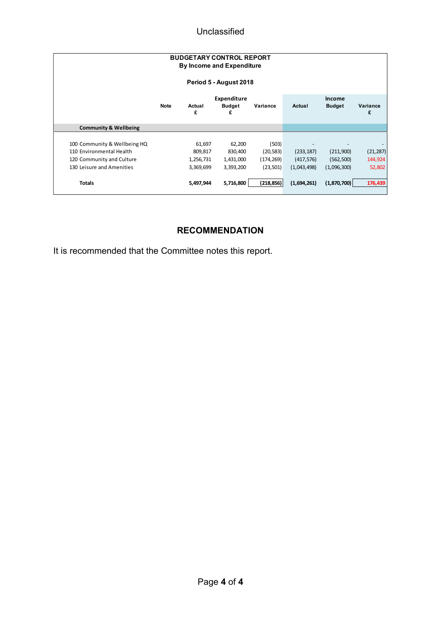## Unclassified

| <b>BUDGETARY CONTROL REPORT</b><br><b>By Income and Expenditure</b><br>Period 5 - August 2018                      |             |                                             |                                             |                                               |                                         |                                        |                                |
|--------------------------------------------------------------------------------------------------------------------|-------------|---------------------------------------------|---------------------------------------------|-----------------------------------------------|-----------------------------------------|----------------------------------------|--------------------------------|
|                                                                                                                    | <b>Note</b> | Actual<br>£                                 | Expenditure<br><b>Budget</b><br>£           | Variance                                      | Actual                                  | Income<br><b>Budget</b>                | Variance<br>£                  |
| <b>Community &amp; Wellbeing</b>                                                                                   |             |                                             |                                             |                                               |                                         |                                        |                                |
| 100 Community & Wellbeing HQ<br>110 Environmental Health<br>120 Community and Culture<br>130 Leisure and Amenities |             | 61,697<br>809,817<br>1,256,731<br>3,369,699 | 62,200<br>830,400<br>1,431,000<br>3,393,200 | (503)<br>(20, 583)<br>(174, 269)<br>(23, 501) | (233, 187)<br>(417, 576)<br>(1,043,498) | (211,900)<br>(562, 500)<br>(1,096,300) | (21, 287)<br>144,924<br>52,802 |
| <b>Totals</b>                                                                                                      |             | 5,497,944                                   | 5,716,800                                   | (218, 856)                                    | (1,694,261)                             | (1,870,700)                            | 176,439                        |

# **RECOMMENDATION**

It is recommended that the Committee notes this report.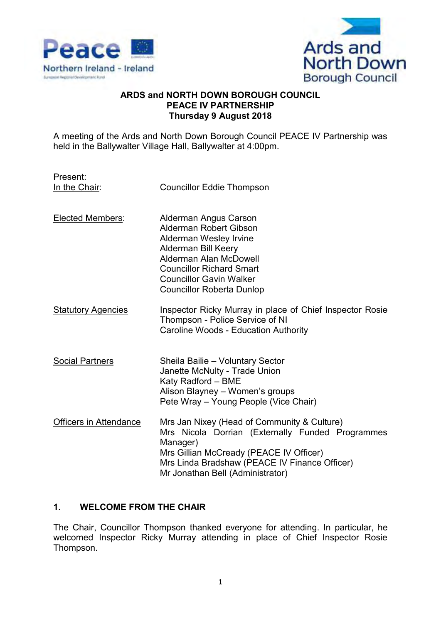



#### **ARDS and NORTH DOWN BOROUGH COUNCIL PEACE IV PARTNERSHIP Thursday 9 August 2018**

A meeting of the Ards and North Down Borough Council PEACE IV Partnership was held in the Ballywalter Village Hall, Ballywalter at 4:00pm.

Present:

In the Chair: Councillor Eddie Thompson

- Elected Members: Alderman Angus Carson Alderman Robert Gibson Alderman Wesley Irvine Alderman Bill Keery Alderman Alan McDowell Councillor Richard Smart Councillor Gavin Walker Councillor Roberta Dunlop
- Statutory Agencies Inspector Ricky Murray in place of Chief Inspector Rosie Thompson - Police Service of NI Caroline Woods - Education Authority
- Social Partners Sheila Bailie Voluntary Sector Janette McNulty - Trade Union Katy Radford – BME Alison Blayney – Women's groups Pete Wray – Young People (Vice Chair)
- Officers in Attendance Mrs Jan Nixey (Head of Community & Culture) Mrs Nicola Dorrian (Externally Funded Programmes Manager) Mrs Gillian McCready (PEACE IV Officer) Mrs Linda Bradshaw (PEACE IV Finance Officer) Mr Jonathan Bell (Administrator)

## **1. WELCOME FROM THE CHAIR**

The Chair, Councillor Thompson thanked everyone for attending. In particular, he welcomed Inspector Ricky Murray attending in place of Chief Inspector Rosie Thompson.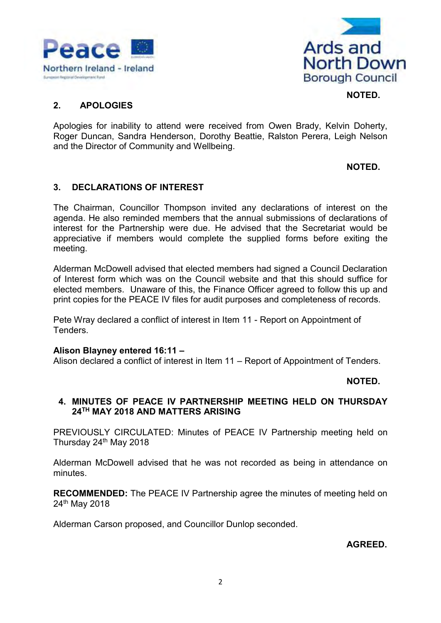



### **2. APOLOGIES**

Apologies for inability to attend were received from Owen Brady, Kelvin Doherty, Roger Duncan, Sandra Henderson, Dorothy Beattie, Ralston Perera, Leigh Nelson and the Director of Community and Wellbeing.

**NOTED.** 

**NOTED.** 

### **3. DECLARATIONS OF INTEREST**

The Chairman, Councillor Thompson invited any declarations of interest on the agenda. He also reminded members that the annual submissions of declarations of interest for the Partnership were due. He advised that the Secretariat would be appreciative if members would complete the supplied forms before exiting the meeting.

Alderman McDowell advised that elected members had signed a Council Declaration of Interest form which was on the Council website and that this should suffice for elected members. Unaware of this, the Finance Officer agreed to follow this up and print copies for the PEACE IV files for audit purposes and completeness of records.

Pete Wray declared a conflict of interest in Item 11 - Report on Appointment of **Tenders** 

#### **Alison Blayney entered 16:11 –**

Alison declared a conflict of interest in Item 11 – Report of Appointment of Tenders.

#### **NOTED.**

#### **4. MINUTES OF PEACE IV PARTNERSHIP MEETING HELD ON THURSDAY 24TH MAY 2018 AND MATTERS ARISING**

PREVIOUSLY CIRCULATED: Minutes of PEACE IV Partnership meeting held on Thursday 24<sup>th</sup> May 2018

Alderman McDowell advised that he was not recorded as being in attendance on minutes.

**RECOMMENDED:** The PEACE IV Partnership agree the minutes of meeting held on 24th May 2018

Alderman Carson proposed, and Councillor Dunlop seconded.

**AGREED.**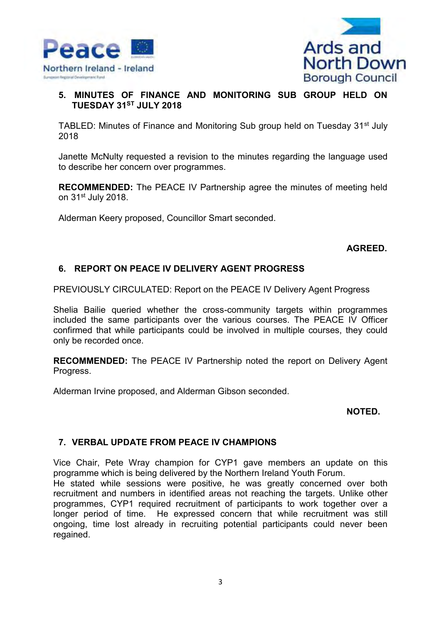



## **5. MINUTES OF FINANCE AND MONITORING SUB GROUP HELD ON TUESDAY 31ST JULY 2018**

TABLED: Minutes of Finance and Monitoring Sub group held on Tuesday 31<sup>st</sup> July 2018

Janette McNulty requested a revision to the minutes regarding the language used to describe her concern over programmes.

**RECOMMENDED:** The PEACE IV Partnership agree the minutes of meeting held on 31<sup>st</sup> July 2018.

Alderman Keery proposed, Councillor Smart seconded.

### **AGREED.**

### **6. REPORT ON PEACE IV DELIVERY AGENT PROGRESS**

PREVIOUSLY CIRCULATED: Report on the PEACE IV Delivery Agent Progress

Shelia Bailie queried whether the cross-community targets within programmes included the same participants over the various courses. The PEACE IV Officer confirmed that while participants could be involved in multiple courses, they could only be recorded once.

**RECOMMENDED:** The PEACE IV Partnership noted the report on Delivery Agent Progress.

Alderman Irvine proposed, and Alderman Gibson seconded.

#### **NOTED.**

#### **7. VERBAL UPDATE FROM PEACE IV CHAMPIONS**

Vice Chair, Pete Wray champion for CYP1 gave members an update on this programme which is being delivered by the Northern Ireland Youth Forum.

He stated while sessions were positive, he was greatly concerned over both recruitment and numbers in identified areas not reaching the targets. Unlike other programmes, CYP1 required recruitment of participants to work together over a longer period of time. He expressed concern that while recruitment was still ongoing, time lost already in recruiting potential participants could never been regained.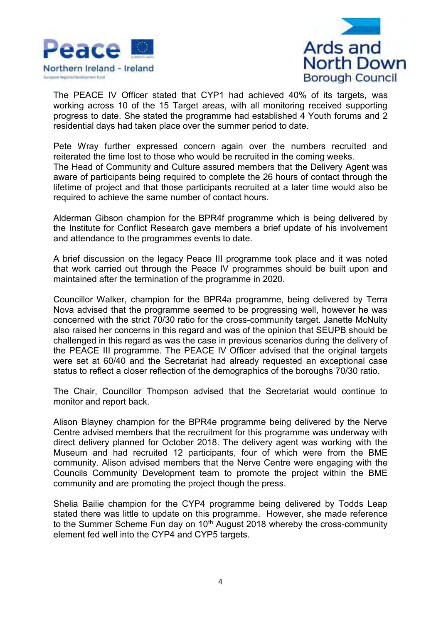



The PEACE IV Officer stated that CYP1 had achieved 40% of its targets, was working across 10 of the 15 Target areas, with all monitoring received supporting progress to date. She stated the programme had established 4 Youth forums and 2 residential days had taken place over the summer period to date.

Pete Wray further expressed concern again over the numbers recruited and reiterated the time lost to those who would be recruited in the coming weeks. The Head of Community and Culture assured members that the Delivery Agent was aware of participants being required to complete the 26 hours of contact through the lifetime of project and that those participants recruited at a later time would also be required to achieve the same number of contact hours.

Alderman Gibson champion for the BPR4f programme which is being delivered by the Institute for Conflict Research gave members a brief update of his involvement and attendance to the programmes events to date.

A brief discussion on the legacy Peace III programme took place and it was noted that work carried out through the Peace IV programmes should be built upon and maintained after the termination of the programme in 2020.

Councillor Walker, champion for the BPR4a programme, being delivered by Terra Nova advised that the programme seemed to be progressing well, however he was concerned with the strict 70/30 ratio for the cross-community target. Janette McNulty also raised her concerns in this regard and was of the opinion that SEUPB should be challenged in this regard as was the case in previous scenarios during the delivery of the PEACE III programme. The PEACE IV Officer advised that the original targets were set at 60/40 and the Secretariat had already requested an exceptional case status to reflect a closer reflection of the demographics of the boroughs 70/30 ratio.

The Chair, Councillor Thompson advised that the Secretariat would continue to monitor and report back.

Alison Blayney champion for the BPR4e programme being delivered by the Nerve Centre advised members that the recruitment for this programme was underway with direct delivery planned for October 2018. The delivery agent was working with the Museum and had recruited 12 participants, four of which were from the BME community. Alison advised members that the Nerve Centre were engaging with the Councils Community Development team to promote the project within the BME community and are promoting the project though the press.

Shelia Bailie champion for the CYP4 programme being delivered by Todds Leap stated there was little to update on this programme. However, she made reference to the Summer Scheme Fun day on  $10<sup>th</sup>$  August 2018 whereby the cross-community element fed well into the CYP4 and CYP5 targets.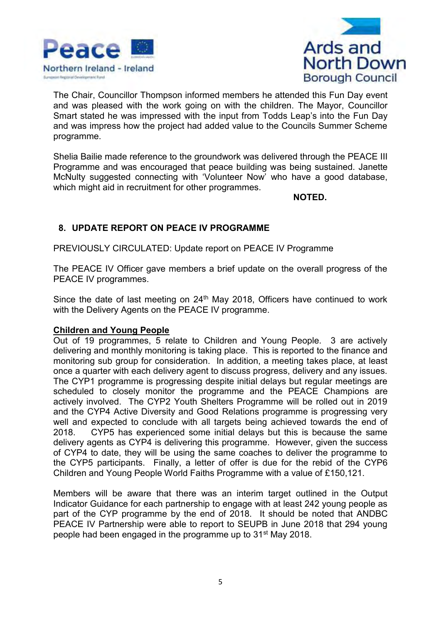



The Chair, Councillor Thompson informed members he attended this Fun Day event and was pleased with the work going on with the children. The Mayor, Councillor Smart stated he was impressed with the input from Todds Leap's into the Fun Day and was impress how the project had added value to the Councils Summer Scheme programme.

Shelia Bailie made reference to the groundwork was delivered through the PEACE III Programme and was encouraged that peace building was being sustained. Janette McNulty suggested connecting with 'Volunteer Now' who have a good database, which might aid in recruitment for other programmes.

**NOTED.**

## **8. UPDATE REPORT ON PEACE IV PROGRAMME**

PREVIOUSLY CIRCULATED: Update report on PEACE IV Programme

The PEACE IV Officer gave members a brief update on the overall progress of the PEACE IV programmes.

Since the date of last meeting on  $24<sup>th</sup>$  May 2018, Officers have continued to work with the Delivery Agents on the PEACE IV programme.

#### **Children and Young People**

Out of 19 programmes, 5 relate to Children and Young People. 3 are actively delivering and monthly monitoring is taking place. This is reported to the finance and monitoring sub group for consideration. In addition, a meeting takes place, at least once a quarter with each delivery agent to discuss progress, delivery and any issues. The CYP1 programme is progressing despite initial delays but regular meetings are scheduled to closely monitor the programme and the PEACE Champions are actively involved. The CYP2 Youth Shelters Programme will be rolled out in 2019 and the CYP4 Active Diversity and Good Relations programme is progressing very well and expected to conclude with all targets being achieved towards the end of 2018. CYP5 has experienced some initial delays but this is because the same delivery agents as CYP4 is delivering this programme. However, given the success of CYP4 to date, they will be using the same coaches to deliver the programme to the CYP5 participants. Finally, a letter of offer is due for the rebid of the CYP6 Children and Young People World Faiths Programme with a value of £150,121.

Members will be aware that there was an interim target outlined in the Output Indicator Guidance for each partnership to engage with at least 242 young people as part of the CYP programme by the end of 2018. It should be noted that ANDBC PEACE IV Partnership were able to report to SEUPB in June 2018 that 294 young people had been engaged in the programme up to 31st May 2018.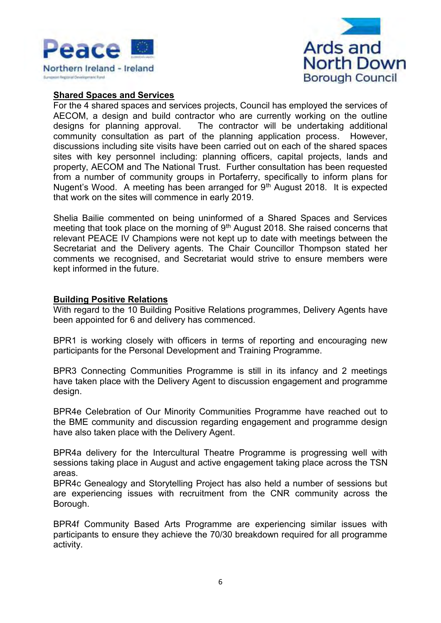



#### **Shared Spaces and Services**

For the 4 shared spaces and services projects, Council has employed the services of AECOM, a design and build contractor who are currently working on the outline designs for planning approval. The contractor will be undertaking additional community consultation as part of the planning application process. However, discussions including site visits have been carried out on each of the shared spaces sites with key personnel including: planning officers, capital projects, lands and property, AECOM and The National Trust. Further consultation has been requested from a number of community groups in Portaferry, specifically to inform plans for Nugent's Wood. A meeting has been arranged for 9<sup>th</sup> August 2018. It is expected that work on the sites will commence in early 2019.

Shelia Bailie commented on being uninformed of a Shared Spaces and Services meeting that took place on the morning of 9<sup>th</sup> August 2018. She raised concerns that relevant PEACE IV Champions were not kept up to date with meetings between the Secretariat and the Delivery agents. The Chair Councillor Thompson stated her comments we recognised, and Secretariat would strive to ensure members were kept informed in the future.

#### **Building Positive Relations**

With regard to the 10 Building Positive Relations programmes, Delivery Agents have been appointed for 6 and delivery has commenced.

BPR1 is working closely with officers in terms of reporting and encouraging new participants for the Personal Development and Training Programme.

BPR3 Connecting Communities Programme is still in its infancy and 2 meetings have taken place with the Delivery Agent to discussion engagement and programme design.

BPR4e Celebration of Our Minority Communities Programme have reached out to the BME community and discussion regarding engagement and programme design have also taken place with the Delivery Agent.

BPR4a delivery for the Intercultural Theatre Programme is progressing well with sessions taking place in August and active engagement taking place across the TSN areas.

BPR4c Genealogy and Storytelling Project has also held a number of sessions but are experiencing issues with recruitment from the CNR community across the Borough.

BPR4f Community Based Arts Programme are experiencing similar issues with participants to ensure they achieve the 70/30 breakdown required for all programme activity.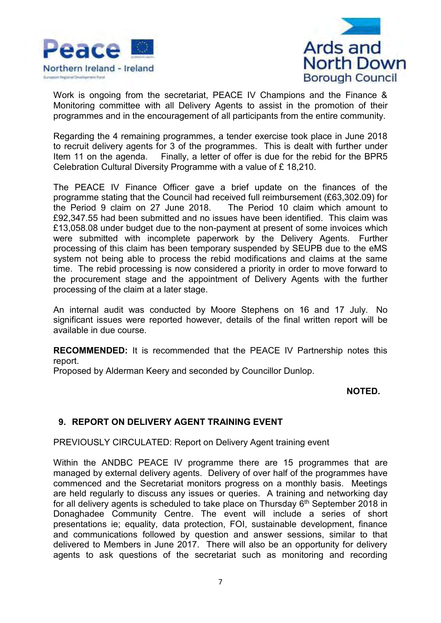



Work is ongoing from the secretariat, PEACE IV Champions and the Finance & Monitoring committee with all Delivery Agents to assist in the promotion of their programmes and in the encouragement of all participants from the entire community.

Regarding the 4 remaining programmes, a tender exercise took place in June 2018 to recruit delivery agents for 3 of the programmes. This is dealt with further under Item 11 on the agenda. Finally, a letter of offer is due for the rebid for the BPR5 Celebration Cultural Diversity Programme with a value of £ 18,210.

The PEACE IV Finance Officer gave a brief update on the finances of the programme stating that the Council had received full reimbursement (£63,302.09) for the Period 9 claim on 27 June 2018. The Period 10 claim which amount to £92,347.55 had been submitted and no issues have been identified. This claim was £13,058.08 under budget due to the non-payment at present of some invoices which were submitted with incomplete paperwork by the Delivery Agents. Further processing of this claim has been temporary suspended by SEUPB due to the eMS system not being able to process the rebid modifications and claims at the same time. The rebid processing is now considered a priority in order to move forward to the procurement stage and the appointment of Delivery Agents with the further processing of the claim at a later stage.

An internal audit was conducted by Moore Stephens on 16 and 17 July. No significant issues were reported however, details of the final written report will be available in due course.

**RECOMMENDED:** It is recommended that the PEACE IV Partnership notes this report.

Proposed by Alderman Keery and seconded by Councillor Dunlop.

#### **NOTED.**

## **9. REPORT ON DELIVERY AGENT TRAINING EVENT**

PREVIOUSLY CIRCULATED: Report on Delivery Agent training event

Within the ANDBC PEACE IV programme there are 15 programmes that are managed by external delivery agents. Delivery of over half of the programmes have commenced and the Secretariat monitors progress on a monthly basis. Meetings are held regularly to discuss any issues or queries. A training and networking day for all delivery agents is scheduled to take place on Thursday  $6<sup>th</sup>$  September 2018 in Donaghadee Community Centre. The event will include a series of short presentations ie; equality, data protection, FOI, sustainable development, finance and communications followed by question and answer sessions, similar to that delivered to Members in June 2017. There will also be an opportunity for delivery agents to ask questions of the secretariat such as monitoring and recording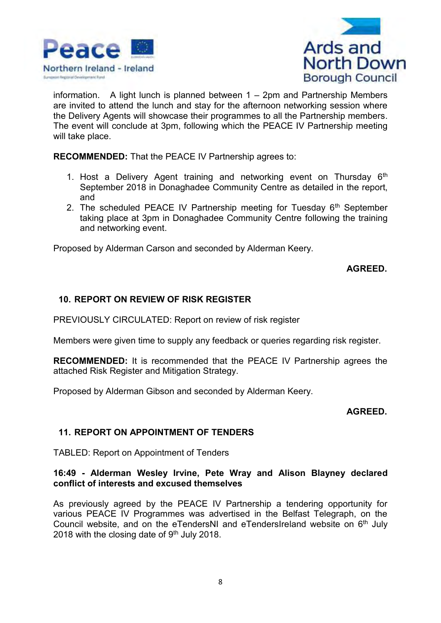



information. A light lunch is planned between 1 – 2pm and Partnership Members are invited to attend the lunch and stay for the afternoon networking session where the Delivery Agents will showcase their programmes to all the Partnership members. The event will conclude at 3pm, following which the PEACE IV Partnership meeting will take place.

**RECOMMENDED:** That the PEACE IV Partnership agrees to:

- 1. Host a Delivery Agent training and networking event on Thursday  $6<sup>th</sup>$ September 2018 in Donaghadee Community Centre as detailed in the report, and
- 2. The scheduled PEACE IV Partnership meeting for Tuesday  $6<sup>th</sup>$  September taking place at 3pm in Donaghadee Community Centre following the training and networking event.

Proposed by Alderman Carson and seconded by Alderman Keery.

**AGREED.**

## **10. REPORT ON REVIEW OF RISK REGISTER**

PREVIOUSLY CIRCULATED: Report on review of risk register

Members were given time to supply any feedback or queries regarding risk register.

**RECOMMENDED:** It is recommended that the PEACE IV Partnership agrees the attached Risk Register and Mitigation Strategy.

Proposed by Alderman Gibson and seconded by Alderman Keery.

#### **AGREED.**

# **11. REPORT ON APPOINTMENT OF TENDERS**

TABLED: Report on Appointment of Tenders

### **16:49 - Alderman Wesley Irvine, Pete Wray and Alison Blayney declared conflict of interests and excused themselves**

As previously agreed by the PEACE IV Partnership a tendering opportunity for various PEACE IV Programmes was advertised in the Belfast Telegraph, on the Council website, and on the eTendersNI and eTendersIreland website on  $6<sup>th</sup>$  July 2018 with the closing date of  $9<sup>th</sup>$  July 2018.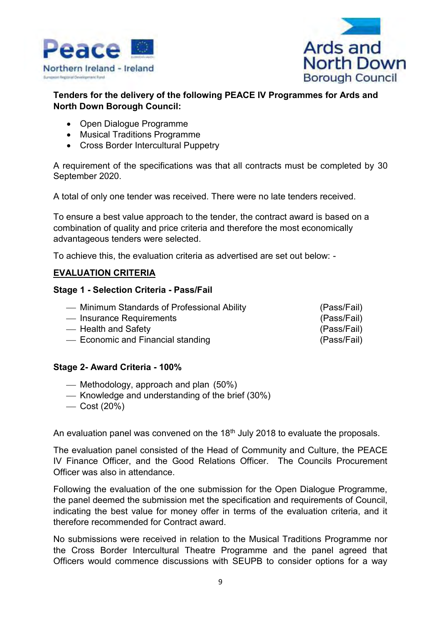



## **Tenders for the delivery of the following PEACE IV Programmes for Ards and North Down Borough Council:**

- Open Dialogue Programme
- Musical Traditions Programme
- Cross Border Intercultural Puppetry

A requirement of the specifications was that all contracts must be completed by 30 September 2020.

A total of only one tender was received. There were no late tenders received.

To ensure a best value approach to the tender, the contract award is based on a combination of quality and price criteria and therefore the most economically advantageous tenders were selected.

To achieve this, the evaluation criteria as advertised are set out below: -

### **EVALUATION CRITERIA**

#### **Stage 1 - Selection Criteria - Pass/Fail**

| - Minimum Standards of Professional Ability | (Pass/Fail) |
|---------------------------------------------|-------------|
| — Insurance Requirements                    | (Pass/Fail) |
| — Health and Safety                         | (Pass/Fail) |
| - Economic and Financial standing           | (Pass/Fail) |

#### **Stage 2- Award Criteria - 100%**

- $-$  Methodology, approach and plan (50%)
- ⎯ Knowledge and understanding of the brief (30%)
- $-$  Cost (20%)

An evaluation panel was convened on the 18<sup>th</sup> July 2018 to evaluate the proposals.

The evaluation panel consisted of the Head of Community and Culture, the PEACE IV Finance Officer, and the Good Relations Officer. The Councils Procurement Officer was also in attendance.

Following the evaluation of the one submission for the Open Dialogue Programme, the panel deemed the submission met the specification and requirements of Council, indicating the best value for money offer in terms of the evaluation criteria, and it therefore recommended for Contract award.

No submissions were received in relation to the Musical Traditions Programme nor the Cross Border Intercultural Theatre Programme and the panel agreed that Officers would commence discussions with SEUPB to consider options for a way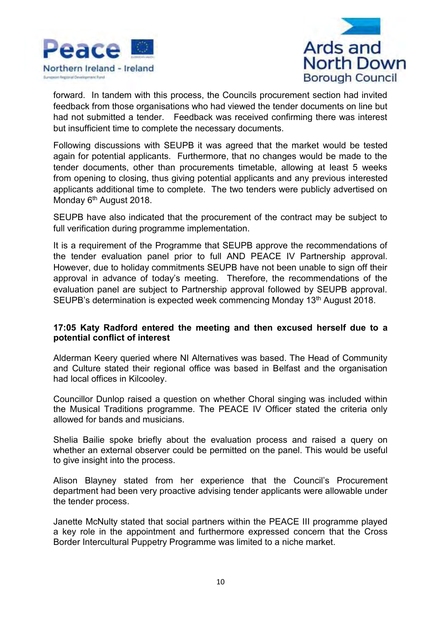



forward. In tandem with this process, the Councils procurement section had invited feedback from those organisations who had viewed the tender documents on line but had not submitted a tender. Feedback was received confirming there was interest but insufficient time to complete the necessary documents.

Following discussions with SEUPB it was agreed that the market would be tested again for potential applicants. Furthermore, that no changes would be made to the tender documents, other than procurements timetable, allowing at least 5 weeks from opening to closing, thus giving potential applicants and any previous interested applicants additional time to complete. The two tenders were publicly advertised on Monday 6<sup>th</sup> August 2018.

SEUPB have also indicated that the procurement of the contract may be subject to full verification during programme implementation.

It is a requirement of the Programme that SEUPB approve the recommendations of the tender evaluation panel prior to full AND PEACE IV Partnership approval. However, due to holiday commitments SEUPB have not been unable to sign off their approval in advance of today's meeting. Therefore, the recommendations of the evaluation panel are subject to Partnership approval followed by SEUPB approval. SEUPB's determination is expected week commencing Monday 13<sup>th</sup> August 2018.

#### **17:05 Katy Radford entered the meeting and then excused herself due to a potential conflict of interest**

Alderman Keery queried where NI Alternatives was based. The Head of Community and Culture stated their regional office was based in Belfast and the organisation had local offices in Kilcooley.

Councillor Dunlop raised a question on whether Choral singing was included within the Musical Traditions programme. The PEACE IV Officer stated the criteria only allowed for bands and musicians.

Shelia Bailie spoke briefly about the evaluation process and raised a query on whether an external observer could be permitted on the panel. This would be useful to give insight into the process.

Alison Blayney stated from her experience that the Council's Procurement department had been very proactive advising tender applicants were allowable under the tender process.

Janette McNulty stated that social partners within the PEACE III programme played a key role in the appointment and furthermore expressed concern that the Cross Border Intercultural Puppetry Programme was limited to a niche market.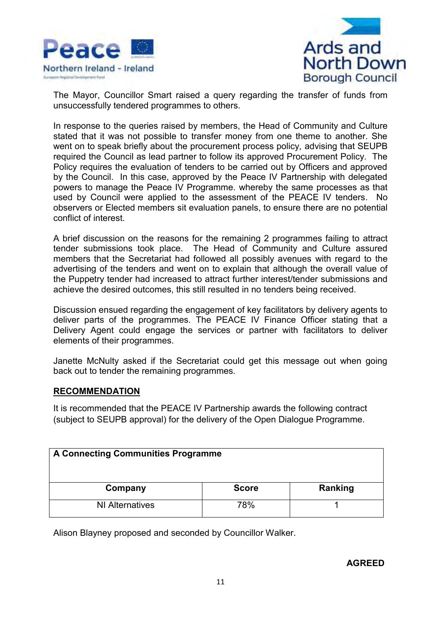



The Mayor, Councillor Smart raised a query regarding the transfer of funds from unsuccessfully tendered programmes to others.

In response to the queries raised by members, the Head of Community and Culture stated that it was not possible to transfer money from one theme to another. She went on to speak briefly about the procurement process policy, advising that SEUPB required the Council as lead partner to follow its approved Procurement Policy. The Policy requires the evaluation of tenders to be carried out by Officers and approved by the Council. In this case, approved by the Peace IV Partnership with delegated powers to manage the Peace IV Programme. whereby the same processes as that used by Council were applied to the assessment of the PEACE IV tenders. No observers or Elected members sit evaluation panels, to ensure there are no potential conflict of interest.

A brief discussion on the reasons for the remaining 2 programmes failing to attract tender submissions took place. The Head of Community and Culture assured members that the Secretariat had followed all possibly avenues with regard to the advertising of the tenders and went on to explain that although the overall value of the Puppetry tender had increased to attract further interest/tender submissions and achieve the desired outcomes, this still resulted in no tenders being received.

Discussion ensued regarding the engagement of key facilitators by delivery agents to deliver parts of the programmes. The PEACE IV Finance Officer stating that a Delivery Agent could engage the services or partner with facilitators to deliver elements of their programmes.

Janette McNulty asked if the Secretariat could get this message out when going back out to tender the remaining programmes.

#### **RECOMMENDATION**

It is recommended that the PEACE IV Partnership awards the following contract (subject to SEUPB approval) for the delivery of the Open Dialogue Programme.

| A Connecting Communities Programme |              |         |  |
|------------------------------------|--------------|---------|--|
| Company                            | <b>Score</b> | Ranking |  |
| <b>NI Alternatives</b>             | 78%          |         |  |

Alison Blayney proposed and seconded by Councillor Walker.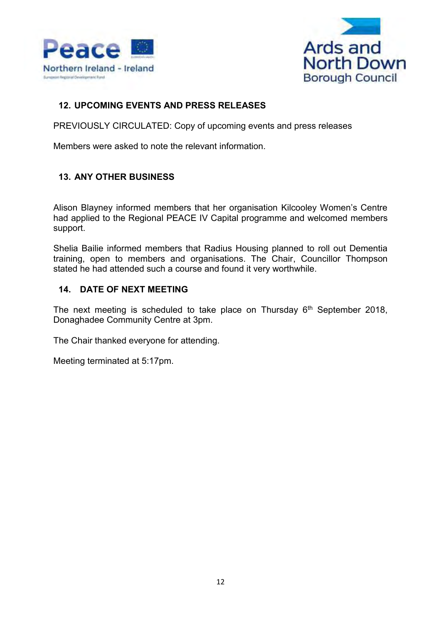



# **12. UPCOMING EVENTS AND PRESS RELEASES**

PREVIOUSLY CIRCULATED: Copy of upcoming events and press releases

Members were asked to note the relevant information.

# **13. ANY OTHER BUSINESS**

Alison Blayney informed members that her organisation Kilcooley Women's Centre had applied to the Regional PEACE IV Capital programme and welcomed members support.

Shelia Bailie informed members that Radius Housing planned to roll out Dementia training, open to members and organisations. The Chair, Councillor Thompson stated he had attended such a course and found it very worthwhile.

### **14. DATE OF NEXT MEETING**

The next meeting is scheduled to take place on Thursday  $6<sup>th</sup>$  September 2018, Donaghadee Community Centre at 3pm.

The Chair thanked everyone for attending.

Meeting terminated at 5:17pm.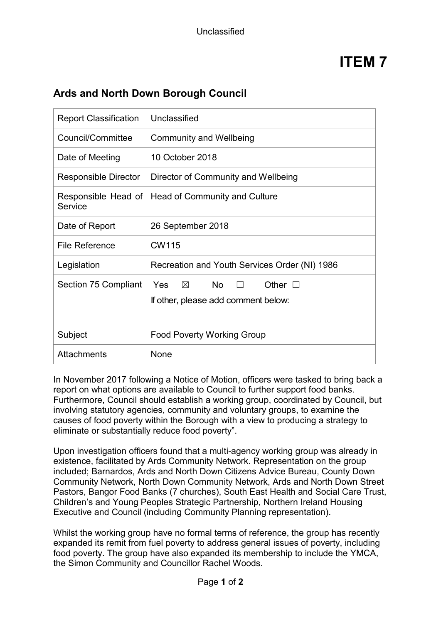# **Ards and North Down Borough Council**

| <b>Report Classification</b>   | Unclassified                                                                                        |
|--------------------------------|-----------------------------------------------------------------------------------------------------|
| Council/Committee              | <b>Community and Wellbeing</b>                                                                      |
| Date of Meeting                | 10 October 2018                                                                                     |
| <b>Responsible Director</b>    | Director of Community and Wellbeing                                                                 |
| Responsible Head of<br>Service | Head of Community and Culture                                                                       |
| Date of Report                 | 26 September 2018                                                                                   |
| <b>File Reference</b>          | <b>CW115</b>                                                                                        |
| Legislation                    | Recreation and Youth Services Order (NI) 1986                                                       |
| Section 75 Compliant           | $\boxtimes$<br><b>No</b><br>Yes<br>Other $\square$<br>$\Box$<br>If other, please add comment below: |
| Subject                        | <b>Food Poverty Working Group</b>                                                                   |
| <b>Attachments</b>             | None                                                                                                |

In November 2017 following a Notice of Motion, officers were tasked to bring back a report on what options are available to Council to further support food banks. Furthermore, Council should establish a working group, coordinated by Council, but involving statutory agencies, community and voluntary groups, to examine the causes of food poverty within the Borough with a view to producing a strategy to eliminate or substantially reduce food poverty".

Upon investigation officers found that a multi-agency working group was already in existence, facilitated by Ards Community Network. Representation on the group included; Barnardos, Ards and North Down Citizens Advice Bureau, County Down Community Network, North Down Community Network, Ards and North Down Street Pastors, Bangor Food Banks (7 churches), South East Health and Social Care Trust, Children's and Young Peoples Strategic Partnership, Northern Ireland Housing Executive and Council (including Community Planning representation).

Whilst the working group have no formal terms of reference, the group has recently expanded its remit from fuel poverty to address general issues of poverty, including food poverty. The group have also expanded its membership to include the YMCA, the Simon Community and Councillor Rachel Woods.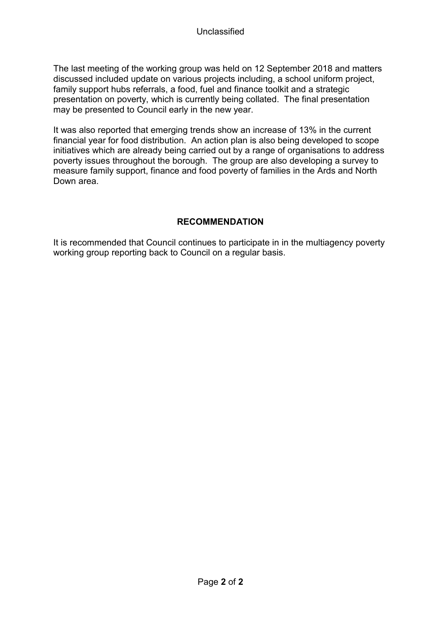The last meeting of the working group was held on 12 September 2018 and matters discussed included update on various projects including, a school uniform project, family support hubs referrals, a food, fuel and finance toolkit and a strategic presentation on poverty, which is currently being collated. The final presentation may be presented to Council early in the new year.

It was also reported that emerging trends show an increase of 13% in the current financial year for food distribution. An action plan is also being developed to scope initiatives which are already being carried out by a range of organisations to address poverty issues throughout the borough. The group are also developing a survey to measure family support, finance and food poverty of families in the Ards and North Down area.

# **RECOMMENDATION**

It is recommended that Council continues to participate in in the multiagency poverty working group reporting back to Council on a regular basis.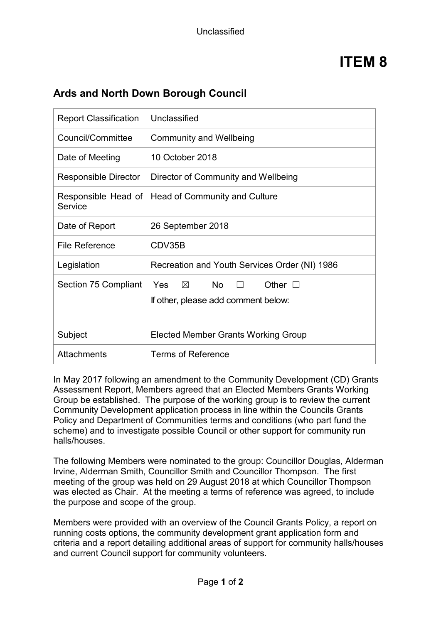# **Ards and North Down Borough Council**

| <b>Report Classification</b>   | Unclassified                                                                        |
|--------------------------------|-------------------------------------------------------------------------------------|
| Council/Committee              | <b>Community and Wellbeing</b>                                                      |
| Date of Meeting                | 10 October 2018                                                                     |
| <b>Responsible Director</b>    | Director of Community and Wellbeing                                                 |
| Responsible Head of<br>Service | Head of Community and Culture                                                       |
| Date of Report                 | 26 September 2018                                                                   |
| File Reference                 | CDV35B                                                                              |
| Legislation                    | Recreation and Youth Services Order (NI) 1986                                       |
| Section 75 Compliant           | $\boxtimes$ No $\Box$<br>Yes<br>Other $\Box$<br>If other, please add comment below: |
| Subject                        | <b>Elected Member Grants Working Group</b>                                          |
| <b>Attachments</b>             | <b>Terms of Reference</b>                                                           |

In May 2017 following an amendment to the Community Development (CD) Grants Assessment Report, Members agreed that an Elected Members Grants Working Group be established. The purpose of the working group is to review the current Community Development application process in line within the Councils Grants Policy and Department of Communities terms and conditions (who part fund the scheme) and to investigate possible Council or other support for community run halls/houses.

The following Members were nominated to the group: Councillor Douglas, Alderman Irvine, Alderman Smith, Councillor Smith and Councillor Thompson. The first meeting of the group was held on 29 August 2018 at which Councillor Thompson was elected as Chair. At the meeting a terms of reference was agreed, to include the purpose and scope of the group.

Members were provided with an overview of the Council Grants Policy, a report on running costs options, the community development grant application form and criteria and a report detailing additional areas of support for community halls/houses and current Council support for community volunteers.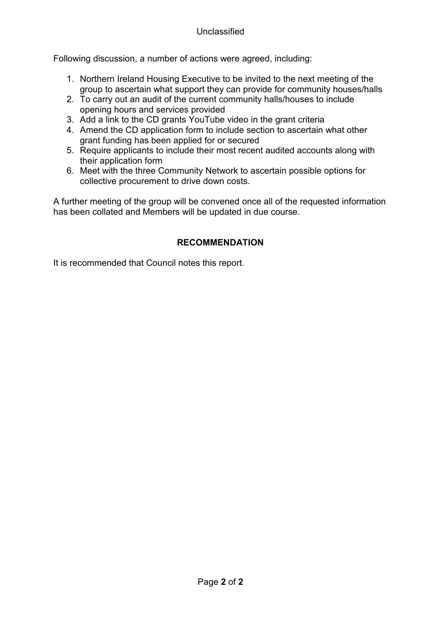Following discussion, a number of actions were agreed, including:

- 1. Northern Ireland Housing Executive to be invited to the next meeting of the group to ascertain what support they can provide for community houses/halls
- 2. To carry out an audit of the current community halls/houses to include opening hours and services provided
- 3. Add a link to the CD grants YouTube video in the grant criteria
- 4. Amend the CD application form to include section to ascertain what other grant funding has been applied for or secured
- 5. Require applicants to include their most recent audited accounts along with their application form
- 6. Meet with the three Community Network to ascertain possible options for collective procurement to drive down costs.

A further meeting of the group will be convened once all of the requested information has been collated and Members will be updated in due course.

# **RECOMMENDATION**

It is recommended that Council notes this report.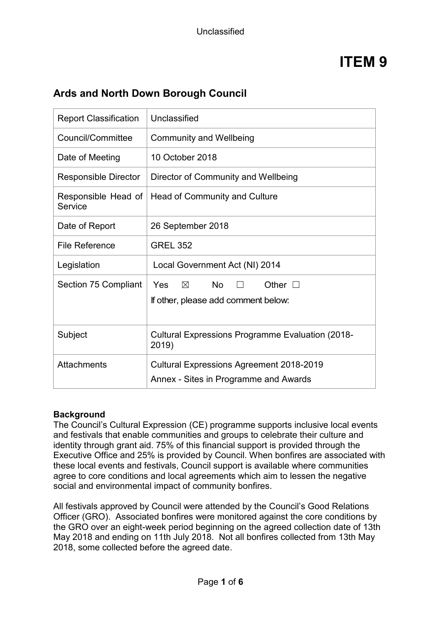# **Ards and North Down Borough Council**

| <b>Report Classification</b>   | Unclassified                                                                             |  |
|--------------------------------|------------------------------------------------------------------------------------------|--|
| Council/Committee              | <b>Community and Wellbeing</b>                                                           |  |
| Date of Meeting                | 10 October 2018                                                                          |  |
| <b>Responsible Director</b>    | Director of Community and Wellbeing                                                      |  |
| Responsible Head of<br>Service | Head of Community and Culture                                                            |  |
| Date of Report                 | 26 September 2018                                                                        |  |
| <b>File Reference</b>          | <b>GREL 352</b>                                                                          |  |
| Legislation                    | Local Government Act (NI) 2014                                                           |  |
| Section 75 Compliant           | $\times$<br><b>No</b><br>Other $\square$<br>Yes<br>If other, please add comment below:   |  |
| Subject                        | <b>Cultural Expressions Programme Evaluation (2018-</b><br>2019)                         |  |
| <b>Attachments</b>             | <b>Cultural Expressions Agreement 2018-2019</b><br>Annex - Sites in Programme and Awards |  |

## **Background**

The Council's Cultural Expression (CE) programme supports inclusive local events and festivals that enable communities and groups to celebrate their culture and identity through grant aid. 75% of this financial support is provided through the Executive Office and 25% is provided by Council. When bonfires are associated with these local events and festivals, Council support is available where communities agree to core conditions and local agreements which aim to lessen the negative social and environmental impact of community bonfires.

All festivals approved by Council were attended by the Council's Good Relations Officer (GRO). Associated bonfires were monitored against the core conditions by the GRO over an eight-week period beginning on the agreed collection date of 13th May 2018 and ending on 11th July 2018. Not all bonfires collected from 13th May 2018, some collected before the agreed date.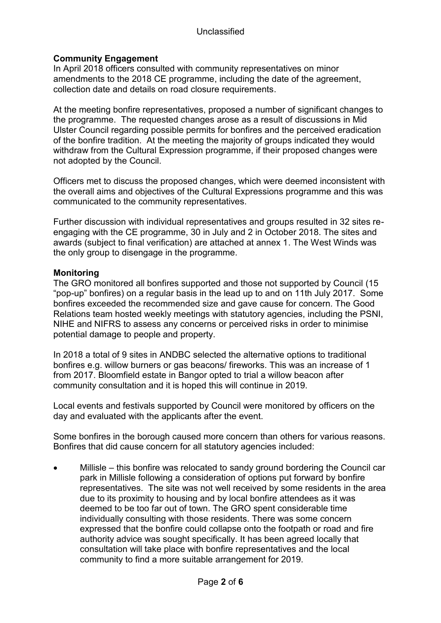### Unclassified

## **Community Engagement**

In April 2018 officers consulted with community representatives on minor amendments to the 2018 CE programme, including the date of the agreement, collection date and details on road closure requirements.

At the meeting bonfire representatives, proposed a number of significant changes to the programme. The requested changes arose as a result of discussions in Mid Ulster Council regarding possible permits for bonfires and the perceived eradication of the bonfire tradition. At the meeting the majority of groups indicated they would withdraw from the Cultural Expression programme, if their proposed changes were not adopted by the Council.

Officers met to discuss the proposed changes, which were deemed inconsistent with the overall aims and objectives of the Cultural Expressions programme and this was communicated to the community representatives.

Further discussion with individual representatives and groups resulted in 32 sites reengaging with the CE programme, 30 in July and 2 in October 2018. The sites and awards (subject to final verification) are attached at annex 1. The West Winds was the only group to disengage in the programme.

#### **Monitoring**

The GRO monitored all bonfires supported and those not supported by Council (15 "pop-up" bonfires) on a regular basis in the lead up to and on 11th July 2017. Some bonfires exceeded the recommended size and gave cause for concern. The Good Relations team hosted weekly meetings with statutory agencies, including the PSNI, NIHE and NIFRS to assess any concerns or perceived risks in order to minimise potential damage to people and property.

In 2018 a total of 9 sites in ANDBC selected the alternative options to traditional bonfires e.g. willow burners or gas beacons/ fireworks. This was an increase of 1 from 2017. Bloomfield estate in Bangor opted to trial a willow beacon after community consultation and it is hoped this will continue in 2019.

Local events and festivals supported by Council were monitored by officers on the day and evaluated with the applicants after the event.

Some bonfires in the borough caused more concern than others for various reasons. Bonfires that did cause concern for all statutory agencies included:

• Millisle – this bonfire was relocated to sandy ground bordering the Council car park in Millisle following a consideration of options put forward by bonfire representatives. The site was not well received by some residents in the area due to its proximity to housing and by local bonfire attendees as it was deemed to be too far out of town. The GRO spent considerable time individually consulting with those residents. There was some concern expressed that the bonfire could collapse onto the footpath or road and fire authority advice was sought specifically. It has been agreed locally that consultation will take place with bonfire representatives and the local community to find a more suitable arrangement for 2019.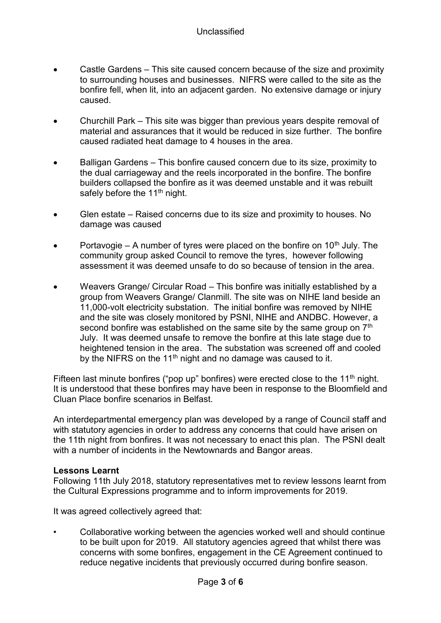- Castle Gardens This site caused concern because of the size and proximity to surrounding houses and businesses. NIFRS were called to the site as the bonfire fell, when lit, into an adjacent garden. No extensive damage or injury caused.
- Churchill Park This site was bigger than previous years despite removal of material and assurances that it would be reduced in size further. The bonfire caused radiated heat damage to 4 houses in the area.
- Balligan Gardens This bonfire caused concern due to its size, proximity to the dual carriageway and the reels incorporated in the bonfire. The bonfire builders collapsed the bonfire as it was deemed unstable and it was rebuilt safely before the 11<sup>th</sup> night.
- Glen estate Raised concerns due to its size and proximity to houses. No damage was caused
- Portavogie A number of tyres were placed on the bonfire on 10<sup>th</sup> July. The community group asked Council to remove the tyres, however following assessment it was deemed unsafe to do so because of tension in the area.
- Weavers Grange/ Circular Road This bonfire was initially established by a group from Weavers Grange/ Clanmill. The site was on NIHE land beside an 11,000-volt electricity substation. The initial bonfire was removed by NIHE and the site was closely monitored by PSNI, NIHE and ANDBC. However, a second bonfire was established on the same site by the same group on 7<sup>th</sup> July. It was deemed unsafe to remove the bonfire at this late stage due to heightened tension in the area. The substation was screened off and cooled by the NIFRS on the 11<sup>th</sup> night and no damage was caused to it.

Fifteen last minute bonfires ("pop up" bonfires) were erected close to the 11<sup>th</sup> night. It is understood that these bonfires may have been in response to the Bloomfield and Cluan Place bonfire scenarios in Belfast.

An interdepartmental emergency plan was developed by a range of Council staff and with statutory agencies in order to address any concerns that could have arisen on the 11th night from bonfires. It was not necessary to enact this plan. The PSNI dealt with a number of incidents in the Newtownards and Bangor areas.

#### **Lessons Learnt**

Following 11th July 2018, statutory representatives met to review lessons learnt from the Cultural Expressions programme and to inform improvements for 2019.

It was agreed collectively agreed that:

• Collaborative working between the agencies worked well and should continue to be built upon for 2019. All statutory agencies agreed that whilst there was concerns with some bonfires, engagement in the CE Agreement continued to reduce negative incidents that previously occurred during bonfire season.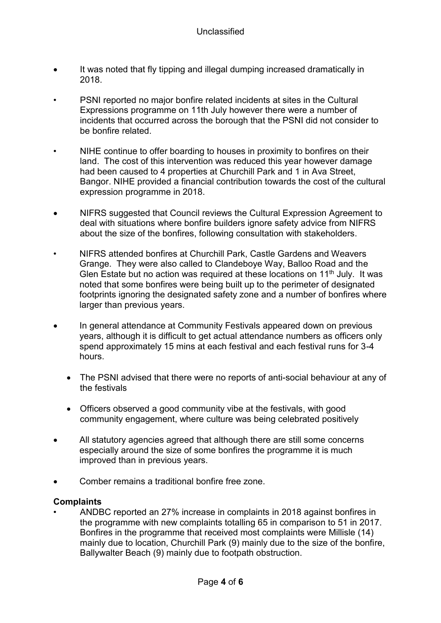- It was noted that fly tipping and illegal dumping increased dramatically in 2018.
- PSNI reported no major bonfire related incidents at sites in the Cultural Expressions programme on 11th July however there were a number of incidents that occurred across the borough that the PSNI did not consider to be bonfire related.
- NIHE continue to offer boarding to houses in proximity to bonfires on their land. The cost of this intervention was reduced this year however damage had been caused to 4 properties at Churchill Park and 1 in Ava Street, Bangor. NIHE provided a financial contribution towards the cost of the cultural expression programme in 2018.
- NIFRS suggested that Council reviews the Cultural Expression Agreement to deal with situations where bonfire builders ignore safety advice from NIFRS about the size of the bonfires, following consultation with stakeholders.
- NIFRS attended bonfires at Churchill Park, Castle Gardens and Weavers Grange. They were also called to Clandeboye Way, Balloo Road and the Glen Estate but no action was required at these locations on  $11<sup>th</sup>$  July. It was noted that some bonfires were being built up to the perimeter of designated footprints ignoring the designated safety zone and a number of bonfires where larger than previous years.
- In general attendance at Community Festivals appeared down on previous years, although it is difficult to get actual attendance numbers as officers only spend approximately 15 mins at each festival and each festival runs for 3-4 hours.
	- The PSNI advised that there were no reports of anti-social behaviour at any of the festivals
	- Officers observed a good community vibe at the festivals, with good community engagement, where culture was being celebrated positively
- All statutory agencies agreed that although there are still some concerns especially around the size of some bonfires the programme it is much improved than in previous years.
- Comber remains a traditional bonfire free zone.

#### **Complaints**

• ANDBC reported an 27% increase in complaints in 2018 against bonfires in the programme with new complaints totalling 65 in comparison to 51 in 2017. Bonfires in the programme that received most complaints were Millisle (14) mainly due to location, Churchill Park (9) mainly due to the size of the bonfire, Ballywalter Beach (9) mainly due to footpath obstruction.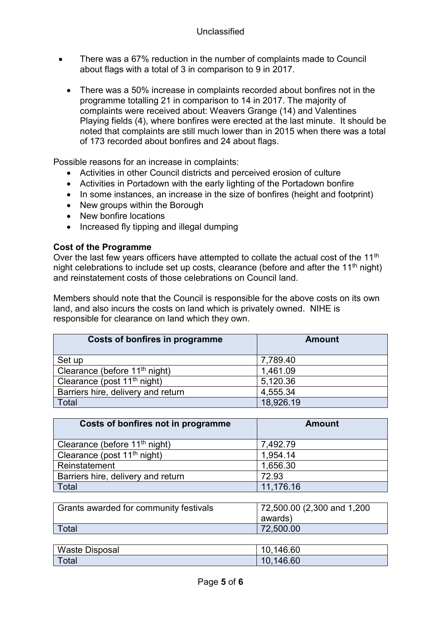- There was a 67% reduction in the number of complaints made to Council about flags with a total of 3 in comparison to 9 in 2017.
	- There was a 50% increase in complaints recorded about bonfires not in the programme totalling 21 in comparison to 14 in 2017. The majority of complaints were received about: Weavers Grange (14) and Valentines Playing fields (4), where bonfires were erected at the last minute. It should be noted that complaints are still much lower than in 2015 when there was a total of 173 recorded about bonfires and 24 about flags.

Possible reasons for an increase in complaints:

- Activities in other Council districts and perceived erosion of culture
- Activities in Portadown with the early lighting of the Portadown bonfire
- In some instances, an increase in the size of bonfires (height and footprint)
- New groups within the Borough
- New bonfire locations
- Increased fly tipping and illegal dumping

#### **Cost of the Programme**

Over the last few years officers have attempted to collate the actual cost of the  $11<sup>th</sup>$ night celebrations to include set up costs, clearance (before and after the  $11<sup>th</sup>$  night) and reinstatement costs of those celebrations on Council land.

Members should note that the Council is responsible for the above costs on its own land, and also incurs the costs on land which is privately owned. NIHE is responsible for clearance on land which they own.

| <b>Costs of bonfires in programme</b>     | <b>Amount</b> |
|-------------------------------------------|---------------|
| Set up                                    | 7,789.40      |
| Clearance (before 11 <sup>th</sup> night) | 1,461.09      |
| Clearance (post 11 <sup>th</sup> night)   | 5,120.36      |
| Barriers hire, delivery and return        | 4,555.34      |
| Total                                     | 18,926.19     |

| <b>Amount</b>               |
|-----------------------------|
| 7,492.79                    |
| 1,954.14                    |
| 1,656.30                    |
| 72.93                       |
| 11,176.16                   |
|                             |
| 72,500.00 (2,300 and 1,200) |
| awards)                     |
| 72,500.00                   |
|                             |

| <b>Waste Disposal</b> | 10,146.60 |
|-----------------------|-----------|
| ∣ Total               | 10,146.60 |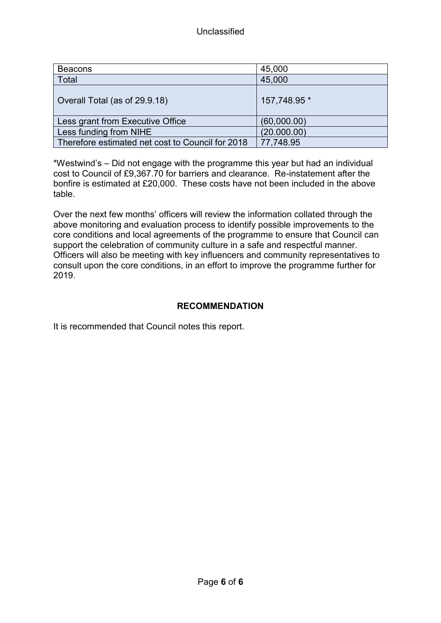| <b>Beacons</b>                                   | 45,000       |
|--------------------------------------------------|--------------|
| Total                                            | 45,000       |
| Overall Total (as of 29.9.18)                    | 157,748.95 * |
| Less grant from Executive Office                 | (60,000.00)  |
| Less funding from NIHE                           | (20.000.00)  |
| Therefore estimated net cost to Council for 2018 | 77,748.95    |

\*Westwind's – Did not engage with the programme this year but had an individual cost to Council of £9,367.70 for barriers and clearance. Re-instatement after the bonfire is estimated at £20,000. These costs have not been included in the above table.

Over the next few months' officers will review the information collated through the above monitoring and evaluation process to identify possible improvements to the core conditions and local agreements of the programme to ensure that Council can support the celebration of community culture in a safe and respectful manner. Officers will also be meeting with key influencers and community representatives to consult upon the core conditions, in an effort to improve the programme further for 2019.

## **RECOMMENDATION**

It is recommended that Council notes this report.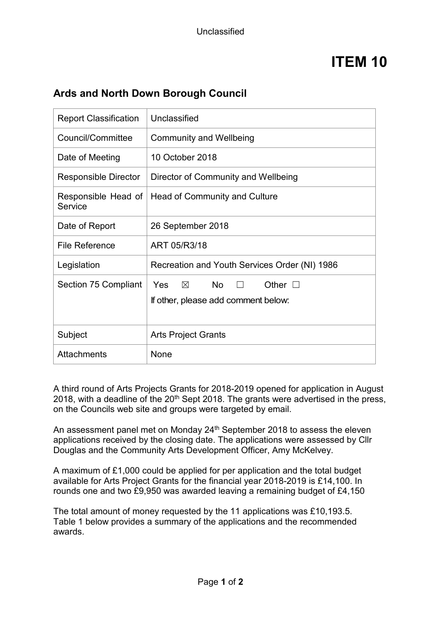# **Ards and North Down Borough Council**

| <b>Report Classification</b>   | Unclassified                                                                                   |
|--------------------------------|------------------------------------------------------------------------------------------------|
| Council/Committee              | <b>Community and Wellbeing</b>                                                                 |
| Date of Meeting                | 10 October 2018                                                                                |
| <b>Responsible Director</b>    | Director of Community and Wellbeing                                                            |
| Responsible Head of<br>Service | Head of Community and Culture                                                                  |
| Date of Report                 | 26 September 2018                                                                              |
| <b>File Reference</b>          | ART 05/R3/18                                                                                   |
| Legislation                    | Recreation and Youth Services Order (NI) 1986                                                  |
| <b>Section 75 Compliant</b>    | Yes<br>$\boxtimes$<br>No l<br>Other $\square$<br>$\Box$<br>If other, please add comment below: |
| Subject                        | <b>Arts Project Grants</b>                                                                     |
| <b>Attachments</b>             | None                                                                                           |

A third round of Arts Projects Grants for 2018-2019 opened for application in August 2018, with a deadline of the  $20<sup>th</sup>$  Sept 2018. The grants were advertised in the press, on the Councils web site and groups were targeted by email.

An assessment panel met on Monday 24<sup>th</sup> September 2018 to assess the eleven applications received by the closing date. The applications were assessed by Cllr Douglas and the Community Arts Development Officer, Amy McKelvey.

A maximum of £1,000 could be applied for per application and the total budget available for Arts Project Grants for the financial year 2018-2019 is £14,100. In rounds one and two £9,950 was awarded leaving a remaining budget of £4,150

The total amount of money requested by the 11 applications was £10,193.5. Table 1 below provides a summary of the applications and the recommended awards.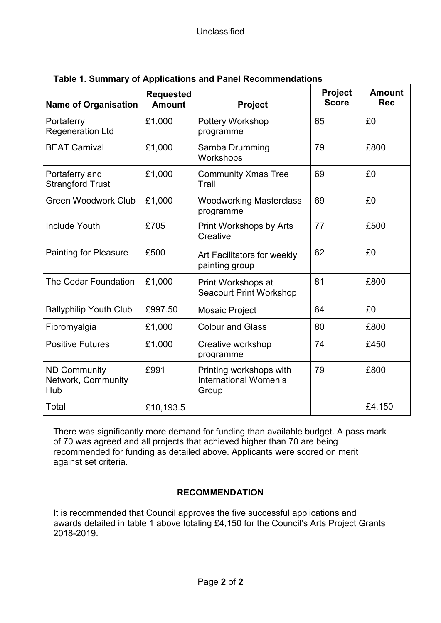| <b>Name of Organisation</b>                      | <b>Requested</b><br><b>Amount</b> | Project                                                   | <b>Project</b><br><b>Score</b> | <b>Amount</b><br><b>Rec</b> |
|--------------------------------------------------|-----------------------------------|-----------------------------------------------------------|--------------------------------|-----------------------------|
| Portaferry<br><b>Regeneration Ltd</b>            | £1,000                            | Pottery Workshop<br>programme                             | 65                             | £0                          |
| <b>BEAT Carnival</b>                             | £1,000                            | Samba Drumming<br>Workshops                               | 79                             | £800                        |
| Portaferry and<br><b>Strangford Trust</b>        | £1,000                            | <b>Community Xmas Tree</b><br>Trail                       | 69                             | £0                          |
| <b>Green Woodwork Club</b>                       | £1,000                            | <b>Woodworking Masterclass</b><br>programme               | 69                             | £0                          |
| <b>Include Youth</b>                             | £705                              | <b>Print Workshops by Arts</b><br>Creative                | 77                             | £500                        |
| <b>Painting for Pleasure</b>                     | £500                              | Art Facilitators for weekly<br>painting group             | 62                             | £0                          |
| The Cedar Foundation                             | £1,000                            | Print Workshops at<br><b>Seacourt Print Workshop</b>      | 81                             | £800                        |
| <b>Ballyphilip Youth Club</b>                    | £997.50                           | Mosaic Project                                            | 64                             | £0                          |
| Fibromyalgia                                     | £1,000                            | <b>Colour and Glass</b>                                   | 80                             | £800                        |
| <b>Positive Futures</b>                          | £1,000                            | Creative workshop<br>programme                            | 74                             | £450                        |
| <b>ND Community</b><br>Network, Community<br>Hub | £991                              | Printing workshops with<br>International Women's<br>Group | 79                             | £800                        |
| Total                                            | £10,193.5                         |                                                           |                                | £4,150                      |

| Table 1. Summary of Applications and Panel Recommendations |  |
|------------------------------------------------------------|--|
|------------------------------------------------------------|--|

There was significantly more demand for funding than available budget. A pass mark of 70 was agreed and all projects that achieved higher than 70 are being recommended for funding as detailed above. Applicants were scored on merit against set criteria.

# **RECOMMENDATION**

It is recommended that Council approves the five successful applications and awards detailed in table 1 above totaling £4,150 for the Council's Arts Project Grants 2018-2019.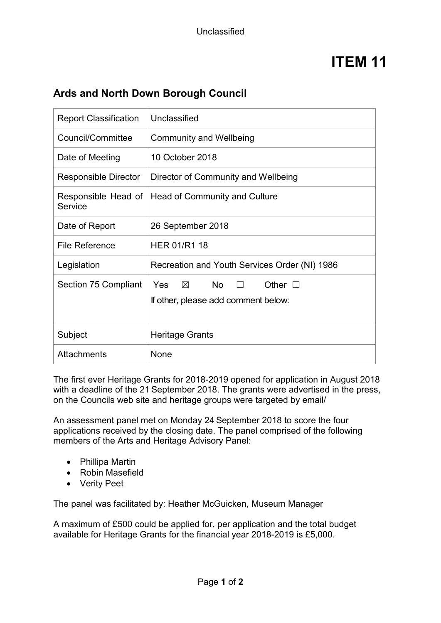# **Ards and North Down Borough Council**

| <b>Report Classification</b>   | Unclassified                                                                                       |
|--------------------------------|----------------------------------------------------------------------------------------------------|
| Council/Committee              | <b>Community and Wellbeing</b>                                                                     |
| Date of Meeting                | 10 October 2018                                                                                    |
| <b>Responsible Director</b>    | Director of Community and Wellbeing                                                                |
| Responsible Head of<br>Service | Head of Community and Culture                                                                      |
| Date of Report                 | 26 September 2018                                                                                  |
| <b>File Reference</b>          | <b>HER 01/R1 18</b>                                                                                |
| Legislation                    | Recreation and Youth Services Order (NI) 1986                                                      |
| Section 75 Compliant           | $Yes \quad \boxtimes \quad No$<br>Other $\square$<br>$\Box$<br>If other, please add comment below: |
| Subject                        | Heritage Grants                                                                                    |
| <b>Attachments</b>             | None                                                                                               |

The first ever Heritage Grants for 2018-2019 opened for application in August 2018 with a deadline of the 21 September 2018. The grants were advertised in the press, on the Councils web site and heritage groups were targeted by email/

An assessment panel met on Monday 24 September 2018 to score the four applications received by the closing date. The panel comprised of the following members of the Arts and Heritage Advisory Panel:

- Phillipa Martin
- Robin Masefield
- Verity Peet

The panel was facilitated by: Heather McGuicken, Museum Manager

A maximum of £500 could be applied for, per application and the total budget available for Heritage Grants for the financial year 2018-2019 is £5,000.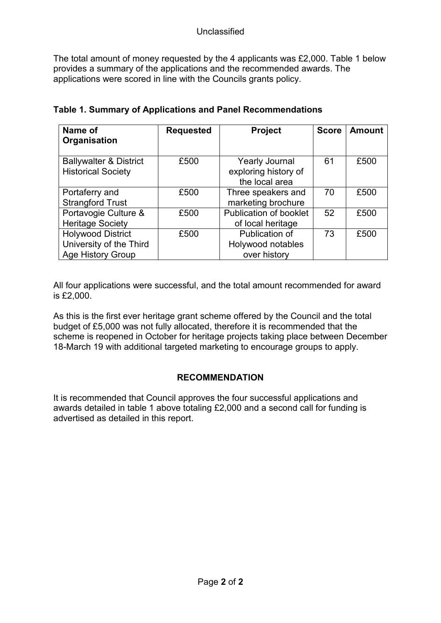The total amount of money requested by the 4 applicants was £2,000. Table 1 below provides a summary of the applications and the recommended awards. The applications were scored in line with the Councils grants policy.

| Name of<br>Organisation                                                         | <b>Requested</b> | <b>Project</b>                                                  | <b>Score</b> | <b>Amount</b> |
|---------------------------------------------------------------------------------|------------------|-----------------------------------------------------------------|--------------|---------------|
| <b>Ballywalter &amp; District</b><br><b>Historical Society</b>                  | £500             | <b>Yearly Journal</b><br>exploring history of<br>the local area | 61           | £500          |
| Portaferry and<br><b>Strangford Trust</b>                                       | £500             | Three speakers and<br>marketing brochure                        | 70           | £500          |
| Portavogie Culture &<br><b>Heritage Society</b>                                 | £500             | <b>Publication of booklet</b><br>of local heritage              | 52           | £500          |
| <b>Holywood District</b><br>University of the Third<br><b>Age History Group</b> | £500             | Publication of<br>Holywood notables<br>over history             | 73           | £500          |

All four applications were successful, and the total amount recommended for award is £2,000.

As this is the first ever heritage grant scheme offered by the Council and the total budget of £5,000 was not fully allocated, therefore it is recommended that the scheme is reopened in October for heritage projects taking place between December 18-March 19 with additional targeted marketing to encourage groups to apply.

# **RECOMMENDATION**

It is recommended that Council approves the four successful applications and awards detailed in table 1 above totaling £2,000 and a second call for funding is advertised as detailed in this report.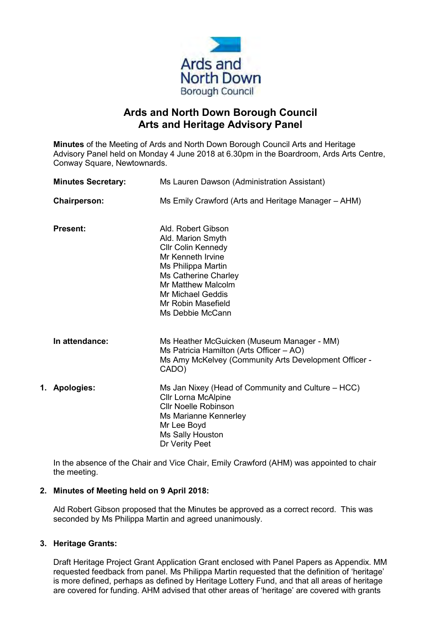

# **Ards and North Down Borough Council Arts and Heritage Advisory Panel**

**Minutes** of the Meeting of Ards and North Down Borough Council Arts and Heritage Advisory Panel held on Monday 4 June 2018 at 6.30pm in the Boardroom, Ards Arts Centre, Conway Square, Newtownards.

| <b>Minutes Secretary:</b> | Ms Lauren Dawson (Administration Assistant)                                                                                                                                                                                         |
|---------------------------|-------------------------------------------------------------------------------------------------------------------------------------------------------------------------------------------------------------------------------------|
| <b>Chairperson:</b>       | Ms Emily Crawford (Arts and Heritage Manager – AHM)                                                                                                                                                                                 |
| <b>Present:</b>           | Ald, Robert Gibson<br>Ald. Marion Smyth<br><b>Cllr Colin Kennedy</b><br>Mr Kenneth Irvine<br>Ms Philippa Martin<br>Ms Catherine Charley<br>Mr Matthew Malcolm<br><b>Mr Michael Geddis</b><br>Mr Robin Masefield<br>Ms Debbie McCann |
| In attendance:            | Ms Heather McGuicken (Museum Manager - MM)<br>Ms Patricia Hamilton (Arts Officer $-$ AO)<br>Ms Amy McKelvey (Community Arts Development Officer -<br>CADO)                                                                          |
| 1. Apologies:             | Ms Jan Nixey (Head of Community and Culture – HCC)<br><b>Cllr Lorna McAlpine</b><br><b>Cllr Noelle Robinson</b><br>Ms Marianne Kennerley<br>Mr Lee Boyd<br>Ms Sally Houston<br>Dr Verity Peet                                       |

In the absence of the Chair and Vice Chair, Emily Crawford (AHM) was appointed to chair the meeting.

#### **2. Minutes of Meeting held on 9 April 2018:**

Ald Robert Gibson proposed that the Minutes be approved as a correct record. This was seconded by Ms Philippa Martin and agreed unanimously.

#### **3. Heritage Grants:**

Draft Heritage Project Grant Application Grant enclosed with Panel Papers as Appendix. MM requested feedback from panel. Ms Philippa Martin requested that the definition of 'heritage' is more defined, perhaps as defined by Heritage Lottery Fund, and that all areas of heritage are covered for funding. AHM advised that other areas of 'heritage' are covered with grants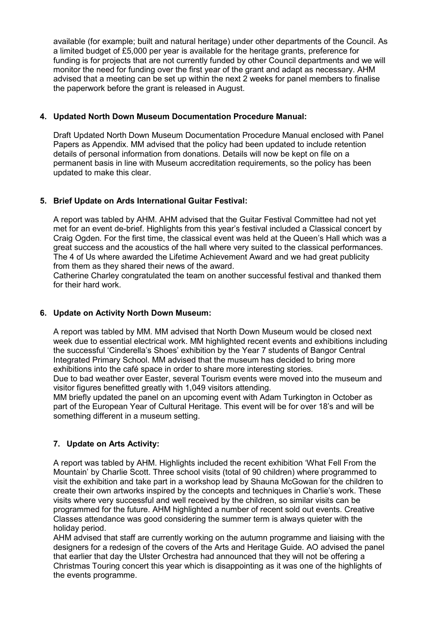available (for example; built and natural heritage) under other departments of the Council. As a limited budget of £5,000 per year is available for the heritage grants, preference for funding is for projects that are not currently funded by other Council departments and we will monitor the need for funding over the first year of the grant and adapt as necessary. AHM advised that a meeting can be set up within the next 2 weeks for panel members to finalise the paperwork before the grant is released in August.

#### **4. Updated North Down Museum Documentation Procedure Manual:**

Draft Updated North Down Museum Documentation Procedure Manual enclosed with Panel Papers as Appendix. MM advised that the policy had been updated to include retention details of personal information from donations. Details will now be kept on file on a permanent basis in line with Museum accreditation requirements, so the policy has been updated to make this clear.

#### **5. Brief Update on Ards International Guitar Festival:**

A report was tabled by AHM. AHM advised that the Guitar Festival Committee had not yet met for an event de-brief. Highlights from this year's festival included a Classical concert by Craig Ogden. For the first time, the classical event was held at the Queen's Hall which was a great success and the acoustics of the hall where very suited to the classical performances. The 4 of Us where awarded the Lifetime Achievement Award and we had great publicity from them as they shared their news of the award.

Catherine Charley congratulated the team on another successful festival and thanked them for their hard work.

#### **6. Update on Activity North Down Museum:**

A report was tabled by MM. MM advised that North Down Museum would be closed next week due to essential electrical work. MM highlighted recent events and exhibitions including the successful 'Cinderella's Shoes' exhibition by the Year 7 students of Bangor Central Integrated Primary School. MM advised that the museum has decided to bring more exhibitions into the café space in order to share more interesting stories.

Due to bad weather over Easter, several Tourism events were moved into the museum and visitor figures benefitted greatly with 1,049 visitors attending.

MM briefly updated the panel on an upcoming event with Adam Turkington in October as part of the European Year of Cultural Heritage. This event will be for over 18's and will be something different in a museum setting.

#### **7. Update on Arts Activity:**

A report was tabled by AHM. Highlights included the recent exhibition 'What Fell From the Mountain' by Charlie Scott. Three school visits (total of 90 children) where programmed to visit the exhibition and take part in a workshop lead by Shauna McGowan for the children to create their own artworks inspired by the concepts and techniques in Charlie's work. These visits where very successful and well received by the children, so similar visits can be programmed for the future. AHM highlighted a number of recent sold out events. Creative Classes attendance was good considering the summer term is always quieter with the holiday period.

AHM advised that staff are currently working on the autumn programme and liaising with the designers for a redesign of the covers of the Arts and Heritage Guide. AO advised the panel that earlier that day the Ulster Orchestra had announced that they will not be offering a Christmas Touring concert this year which is disappointing as it was one of the highlights of the events programme.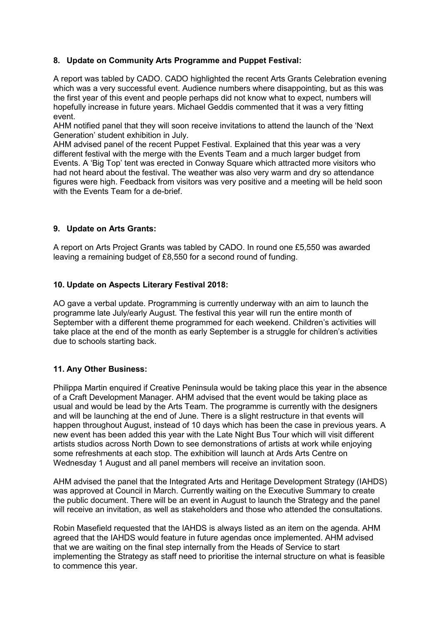#### **8. Update on Community Arts Programme and Puppet Festival:**

A report was tabled by CADO. CADO highlighted the recent Arts Grants Celebration evening which was a very successful event. Audience numbers where disappointing, but as this was the first year of this event and people perhaps did not know what to expect, numbers will hopefully increase in future years. Michael Geddis commented that it was a very fitting event.

AHM notified panel that they will soon receive invitations to attend the launch of the 'Next Generation' student exhibition in July.

AHM advised panel of the recent Puppet Festival. Explained that this year was a very different festival with the merge with the Events Team and a much larger budget from Events. A 'Big Top' tent was erected in Conway Square which attracted more visitors who had not heard about the festival. The weather was also very warm and dry so attendance figures were high. Feedback from visitors was very positive and a meeting will be held soon with the Events Team for a de-brief.

#### **9. Update on Arts Grants:**

A report on Arts Project Grants was tabled by CADO. In round one £5,550 was awarded leaving a remaining budget of £8,550 for a second round of funding.

#### **10. Update on Aspects Literary Festival 2018:**

AO gave a verbal update. Programming is currently underway with an aim to launch the programme late July/early August. The festival this year will run the entire month of September with a different theme programmed for each weekend. Children's activities will take place at the end of the month as early September is a struggle for children's activities due to schools starting back.

#### **11. Any Other Business:**

Philippa Martin enquired if Creative Peninsula would be taking place this year in the absence of a Craft Development Manager. AHM advised that the event would be taking place as usual and would be lead by the Arts Team. The programme is currently with the designers and will be launching at the end of June. There is a slight restructure in that events will happen throughout August, instead of 10 days which has been the case in previous years. A new event has been added this year with the Late Night Bus Tour which will visit different artists studios across North Down to see demonstrations of artists at work while enjoying some refreshments at each stop. The exhibition will launch at Ards Arts Centre on Wednesday 1 August and all panel members will receive an invitation soon.

AHM advised the panel that the Integrated Arts and Heritage Development Strategy (IAHDS) was approved at Council in March. Currently waiting on the Executive Summary to create the public document. There will be an event in August to launch the Strategy and the panel will receive an invitation, as well as stakeholders and those who attended the consultations.

Robin Masefield requested that the IAHDS is always listed as an item on the agenda. AHM agreed that the IAHDS would feature in future agendas once implemented. AHM advised that we are waiting on the final step internally from the Heads of Service to start implementing the Strategy as staff need to prioritise the internal structure on what is feasible to commence this year.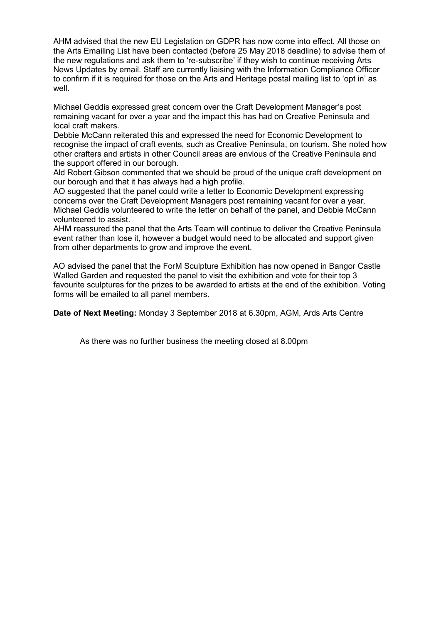AHM advised that the new EU Legislation on GDPR has now come into effect. All those on the Arts Emailing List have been contacted (before 25 May 2018 deadline) to advise them of the new regulations and ask them to 're-subscribe' if they wish to continue receiving Arts News Updates by email. Staff are currently liaising with the Information Compliance Officer to confirm if it is required for those on the Arts and Heritage postal mailing list to 'opt in' as well.

Michael Geddis expressed great concern over the Craft Development Manager's post remaining vacant for over a year and the impact this has had on Creative Peninsula and local craft makers.

Debbie McCann reiterated this and expressed the need for Economic Development to recognise the impact of craft events, such as Creative Peninsula, on tourism. She noted how other crafters and artists in other Council areas are envious of the Creative Peninsula and the support offered in our borough.

Ald Robert Gibson commented that we should be proud of the unique craft development on our borough and that it has always had a high profile.

AO suggested that the panel could write a letter to Economic Development expressing concerns over the Craft Development Managers post remaining vacant for over a year. Michael Geddis volunteered to write the letter on behalf of the panel, and Debbie McCann volunteered to assist.

AHM reassured the panel that the Arts Team will continue to deliver the Creative Peninsula event rather than lose it, however a budget would need to be allocated and support given from other departments to grow and improve the event.

AO advised the panel that the ForM Sculpture Exhibition has now opened in Bangor Castle Walled Garden and requested the panel to visit the exhibition and vote for their top 3 favourite sculptures for the prizes to be awarded to artists at the end of the exhibition. Voting forms will be emailed to all panel members.

**Date of Next Meeting:** Monday 3 September 2018 at 6.30pm, AGM, Ards Arts Centre

As there was no further business the meeting closed at 8.00pm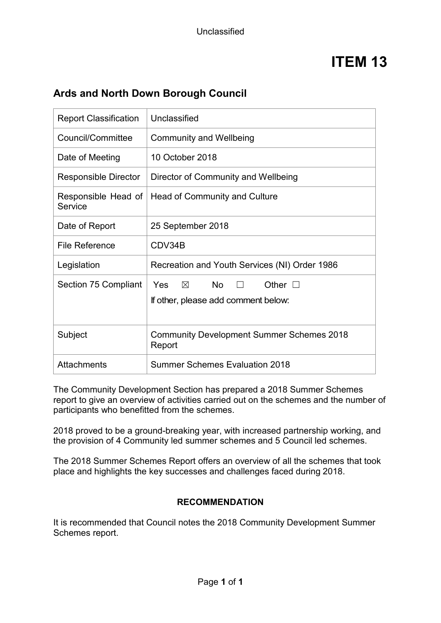# **Ards and North Down Borough Council**

| <b>Report Classification</b>   | Unclassified                                                                                     |
|--------------------------------|--------------------------------------------------------------------------------------------------|
| Council/Committee              | <b>Community and Wellbeing</b>                                                                   |
| Date of Meeting                | 10 October 2018                                                                                  |
| <b>Responsible Director</b>    | Director of Community and Wellbeing                                                              |
| Responsible Head of<br>Service | <b>Head of Community and Culture</b>                                                             |
| Date of Report                 | 25 September 2018                                                                                |
| File Reference                 | CDV34B                                                                                           |
| Legislation                    | Recreation and Youth Services (NI) Order 1986                                                    |
| Section 75 Compliant           | Yes<br><b>No</b><br>$\times$<br>Other $\square$<br>$\Box$<br>If other, please add comment below: |
| Subject                        | <b>Community Development Summer Schemes 2018</b><br>Report                                       |
| <b>Attachments</b>             | <b>Summer Schemes Evaluation 2018</b>                                                            |

The Community Development Section has prepared a 2018 Summer Schemes report to give an overview of activities carried out on the schemes and the number of participants who benefitted from the schemes.

2018 proved to be a ground-breaking year, with increased partnership working, and the provision of 4 Community led summer schemes and 5 Council led schemes.

The 2018 Summer Schemes Report offers an overview of all the schemes that took place and highlights the key successes and challenges faced during 2018.

## **RECOMMENDATION**

It is recommended that Council notes the 2018 Community Development Summer Schemes report.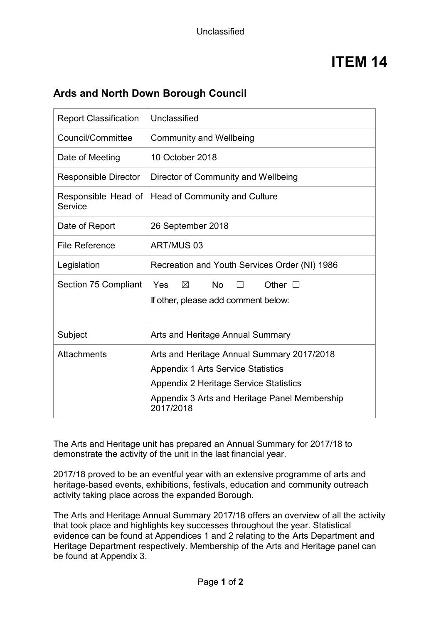# **Ards and North Down Borough Council**

| <b>Report Classification</b>   | Unclassified                                                                                                                                                                                           |
|--------------------------------|--------------------------------------------------------------------------------------------------------------------------------------------------------------------------------------------------------|
| Council/Committee              | <b>Community and Wellbeing</b>                                                                                                                                                                         |
| Date of Meeting                | 10 October 2018                                                                                                                                                                                        |
| <b>Responsible Director</b>    | Director of Community and Wellbeing                                                                                                                                                                    |
| Responsible Head of<br>Service | Head of Community and Culture                                                                                                                                                                          |
| Date of Report                 | 26 September 2018                                                                                                                                                                                      |
| <b>File Reference</b>          | ART/MUS 03                                                                                                                                                                                             |
| Legislation                    | Recreation and Youth Services Order (NI) 1986                                                                                                                                                          |
| <b>Section 75 Compliant</b>    | <b>No</b><br>Yes<br>$\boxtimes$<br>Other $\square$<br>If other, please add comment below:                                                                                                              |
| Subject                        | Arts and Heritage Annual Summary                                                                                                                                                                       |
| <b>Attachments</b>             | Arts and Heritage Annual Summary 2017/2018<br><b>Appendix 1 Arts Service Statistics</b><br><b>Appendix 2 Heritage Service Statistics</b><br>Appendix 3 Arts and Heritage Panel Membership<br>2017/2018 |

The Arts and Heritage unit has prepared an Annual Summary for 2017/18 to demonstrate the activity of the unit in the last financial year.

2017/18 proved to be an eventful year with an extensive programme of arts and heritage-based events, exhibitions, festivals, education and community outreach activity taking place across the expanded Borough.

The Arts and Heritage Annual Summary 2017/18 offers an overview of all the activity that took place and highlights key successes throughout the year. Statistical evidence can be found at Appendices 1 and 2 relating to the Arts Department and Heritage Department respectively. Membership of the Arts and Heritage panel can be found at Appendix 3.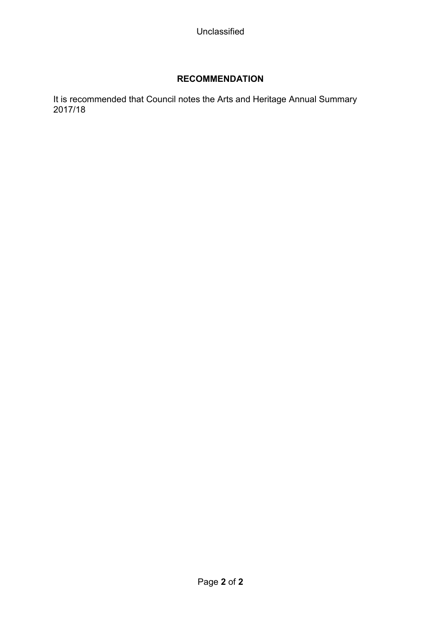# **RECOMMENDATION**

It is recommended that Council notes the Arts and Heritage Annual Summary 2017/18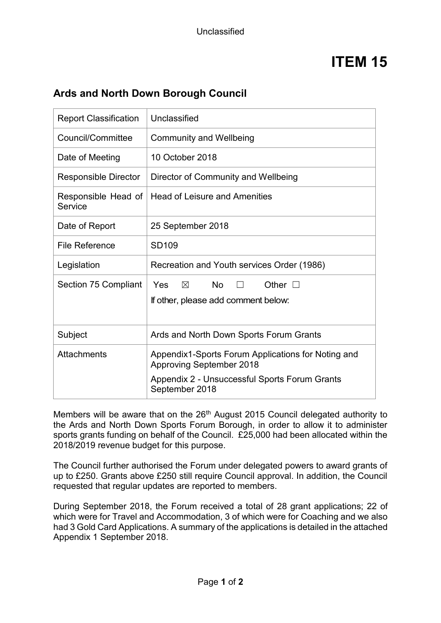# **Ards and North Down Borough Council**

| <b>Report Classification</b>   | Unclassified                                                                                     |
|--------------------------------|--------------------------------------------------------------------------------------------------|
| Council/Committee              | <b>Community and Wellbeing</b>                                                                   |
| Date of Meeting                | 10 October 2018                                                                                  |
| <b>Responsible Director</b>    | Director of Community and Wellbeing                                                              |
| Responsible Head of<br>Service | <b>Head of Leisure and Amenities</b>                                                             |
| Date of Report                 | 25 September 2018                                                                                |
| <b>File Reference</b>          | SD109                                                                                            |
| Legislation                    | Recreation and Youth services Order (1986)                                                       |
| Section 75 Compliant           | $\boxtimes$<br><b>No</b><br><b>Yes</b><br>Other $\square$<br>If other, please add comment below: |
| Subject                        | Ards and North Down Sports Forum Grants                                                          |
| Attachments                    | Appendix1-Sports Forum Applications for Noting and<br><b>Approving September 2018</b>            |
|                                | Appendix 2 - Unsuccessful Sports Forum Grants<br>September 2018                                  |

Members will be aware that on the 26<sup>th</sup> August 2015 Council delegated authority to the Ards and North Down Sports Forum Borough, in order to allow it to administer sports grants funding on behalf of the Council. £25,000 had been allocated within the 2018/2019 revenue budget for this purpose.

The Council further authorised the Forum under delegated powers to award grants of up to £250. Grants above £250 still require Council approval. In addition, the Council requested that regular updates are reported to members.

During September 2018, the Forum received a total of 28 grant applications; 22 of which were for Travel and Accommodation, 3 of which were for Coaching and we also had 3 Gold Card Applications. A summary of the applications is detailed in the attached Appendix 1 September 2018.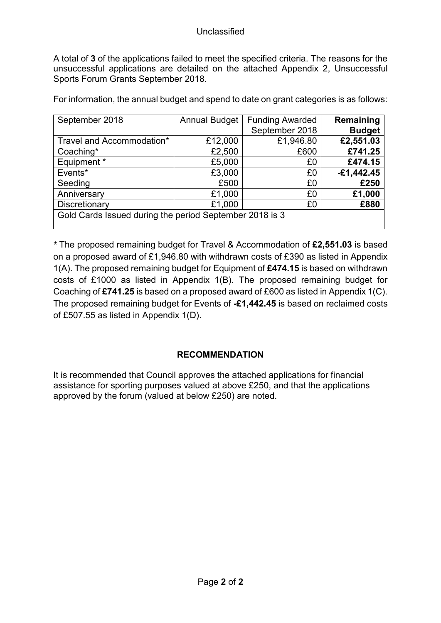A total of **3** of the applications failed to meet the specified criteria. The reasons for the unsuccessful applications are detailed on the attached Appendix 2, Unsuccessful Sports Forum Grants September 2018.

For information, the annual budget and spend to date on grant categories is as follows:

| September 2018                                          | <b>Annual Budget</b> | <b>Funding Awarded</b> | Remaining     |
|---------------------------------------------------------|----------------------|------------------------|---------------|
|                                                         |                      | September 2018         | <b>Budget</b> |
| Travel and Accommodation*                               | £12,000              | £1,946.80              | £2,551.03     |
| Coaching*                                               | £2,500               | £600                   | £741.25       |
| Equipment *                                             | £5,000               | £0                     | £474.15       |
| Events*                                                 | £3,000               | £0                     | $-£1,442.45$  |
| Seeding                                                 | £500                 | £0                     | £250          |
| Anniversary                                             | £1,000               | £0                     | £1,000        |
| Discretionary                                           | £1,000               | £0                     | £880          |
| Gold Cards Issued during the period September 2018 is 3 |                      |                        |               |

*\** The proposed remaining budget for Travel & Accommodation of **£2,551.03** is based on a proposed award of £1,946.80 with withdrawn costs of £390 as listed in Appendix 1(A). The proposed remaining budget for Equipment of **£474.15** is based on withdrawn costs of £1000 as listed in Appendix 1(B). The proposed remaining budget for Coaching of **£741.25** is based on a proposed award of £600 as listed in Appendix 1(C). The proposed remaining budget for Events of **-£1,442.45** is based on reclaimed costs of £507.55 as listed in Appendix 1(D).

## **RECOMMENDATION**

It is recommended that Council approves the attached applications for financial assistance for sporting purposes valued at above £250, and that the applications approved by the forum (valued at below £250) are noted.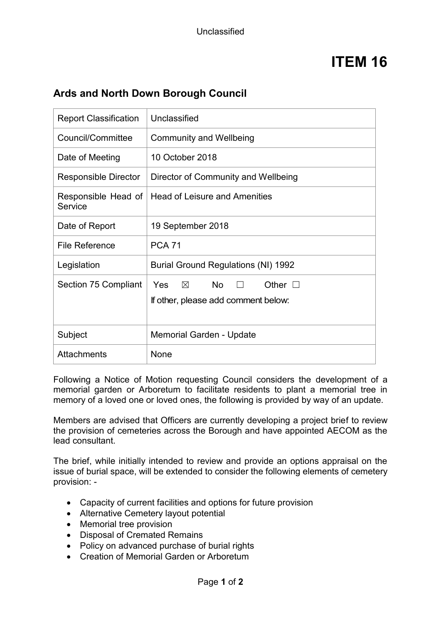# **Ards and North Down Borough Council**

| <b>Report Classification</b>   | Unclassified                                                                              |  |
|--------------------------------|-------------------------------------------------------------------------------------------|--|
| Council/Committee              | <b>Community and Wellbeing</b>                                                            |  |
| Date of Meeting                | 10 October 2018                                                                           |  |
| <b>Responsible Director</b>    | Director of Community and Wellbeing                                                       |  |
| Responsible Head of<br>Service | <b>Head of Leisure and Amenities</b>                                                      |  |
| Date of Report                 | 19 September 2018                                                                         |  |
| <b>File Reference</b>          | <b>PCA 71</b>                                                                             |  |
| Legislation                    | <b>Burial Ground Regulations (NI) 1992</b>                                                |  |
| Section 75 Compliant           | $\boxtimes$ No<br>Yes<br>Other $\square$<br>$\Box$<br>If other, please add comment below: |  |
| Subject                        | Memorial Garden - Update                                                                  |  |
| <b>Attachments</b>             | None                                                                                      |  |

Following a Notice of Motion requesting Council considers the development of a memorial garden or Arboretum to facilitate residents to plant a memorial tree in memory of a loved one or loved ones, the following is provided by way of an update.

Members are advised that Officers are currently developing a project brief to review the provision of cemeteries across the Borough and have appointed AECOM as the lead consultant.

The brief, while initially intended to review and provide an options appraisal on the issue of burial space, will be extended to consider the following elements of cemetery provision: -

- Capacity of current facilities and options for future provision
- Alternative Cemetery layout potential
- Memorial tree provision
- Disposal of Cremated Remains
- Policy on advanced purchase of burial rights
- Creation of Memorial Garden or Arboretum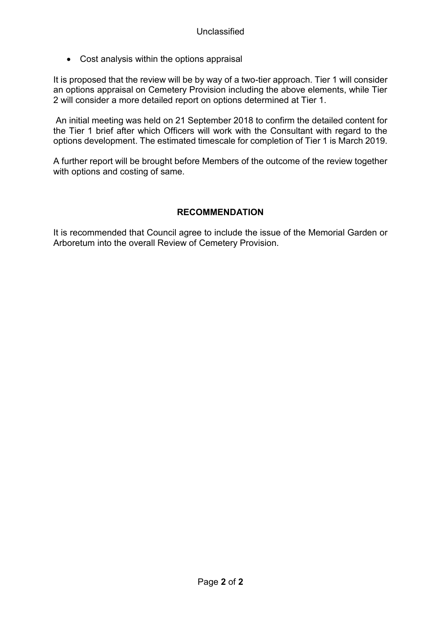• Cost analysis within the options appraisal

It is proposed that the review will be by way of a two-tier approach. Tier 1 will consider an options appraisal on Cemetery Provision including the above elements, while Tier 2 will consider a more detailed report on options determined at Tier 1.

An initial meeting was held on 21 September 2018 to confirm the detailed content for the Tier 1 brief after which Officers will work with the Consultant with regard to the options development. The estimated timescale for completion of Tier 1 is March 2019.

A further report will be brought before Members of the outcome of the review together with options and costing of same.

## **RECOMMENDATION**

It is recommended that Council agree to include the issue of the Memorial Garden or Arboretum into the overall Review of Cemetery Provision.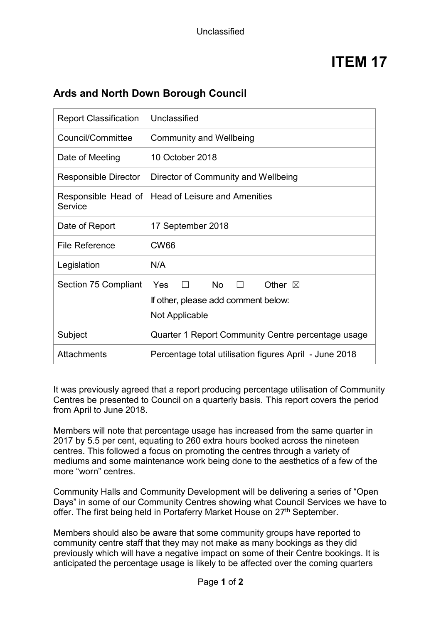# **Ards and North Down Borough Council**

| <b>Report Classification</b>   | Unclassified                                                                                                       |
|--------------------------------|--------------------------------------------------------------------------------------------------------------------|
| Council/Committee              | <b>Community and Wellbeing</b>                                                                                     |
| Date of Meeting                | 10 October 2018                                                                                                    |
| <b>Responsible Director</b>    | Director of Community and Wellbeing                                                                                |
| Responsible Head of<br>Service | <b>Head of Leisure and Amenities</b>                                                                               |
| Date of Report                 | 17 September 2018                                                                                                  |
| <b>File Reference</b>          | <b>CW66</b>                                                                                                        |
| Legislation                    | N/A                                                                                                                |
| Section 75 Compliant           | <b>No</b><br>Yes<br>$\Box$<br>Other $\boxtimes$<br>$\Box$<br>If other, please add comment below:<br>Not Applicable |
| Subject                        | Quarter 1 Report Community Centre percentage usage                                                                 |
| <b>Attachments</b>             | Percentage total utilisation figures April - June 2018                                                             |

It was previously agreed that a report producing percentage utilisation of Community Centres be presented to Council on a quarterly basis. This report covers the period from April to June 2018.

Members will note that percentage usage has increased from the same quarter in 2017 by 5.5 per cent, equating to 260 extra hours booked across the nineteen centres. This followed a focus on promoting the centres through a variety of mediums and some maintenance work being done to the aesthetics of a few of the more "worn" centres.

Community Halls and Community Development will be delivering a series of "Open Days" in some of our Community Centres showing what Council Services we have to offer. The first being held in Portaferry Market House on 27<sup>th</sup> September.

Members should also be aware that some community groups have reported to community centre staff that they may not make as many bookings as they did previously which will have a negative impact on some of their Centre bookings. It is anticipated the percentage usage is likely to be affected over the coming quarters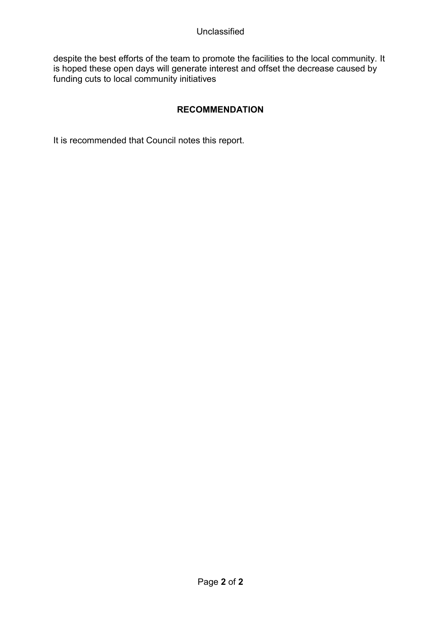#### Unclassified

despite the best efforts of the team to promote the facilities to the local community. It is hoped these open days will generate interest and offset the decrease caused by funding cuts to local community initiatives

# **RECOMMENDATION**

It is recommended that Council notes this report.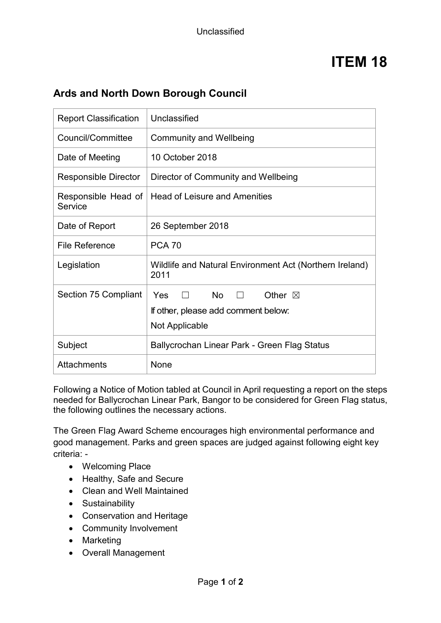# **Ards and North Down Borough Council**

| <b>Report Classification</b>   | Unclassified                                                    |  |
|--------------------------------|-----------------------------------------------------------------|--|
| Council/Committee              | <b>Community and Wellbeing</b>                                  |  |
| Date of Meeting                | 10 October 2018                                                 |  |
| <b>Responsible Director</b>    | Director of Community and Wellbeing                             |  |
| Responsible Head of<br>Service | <b>Head of Leisure and Amenities</b>                            |  |
| Date of Report                 | 26 September 2018                                               |  |
| <b>File Reference</b>          | <b>PCA 70</b>                                                   |  |
| Legislation                    | Wildlife and Natural Environment Act (Northern Ireland)<br>2011 |  |
| Section 75 Compliant           | <b>No</b><br>Yes<br>Other $\boxtimes$                           |  |
|                                | If other, please add comment below:                             |  |
|                                | Not Applicable                                                  |  |
| Subject                        | Ballycrochan Linear Park - Green Flag Status                    |  |
| <b>Attachments</b>             | None                                                            |  |

Following a Notice of Motion tabled at Council in April requesting a report on the steps needed for Ballycrochan Linear Park, Bangor to be considered for Green Flag status, the following outlines the necessary actions.

The Green Flag Award Scheme encourages high environmental performance and good management. Parks and green spaces are judged against following eight key criteria: -

- Welcoming Place
- Healthy, Safe and Secure
- Clean and Well Maintained
- Sustainability
- Conservation and Heritage
- Community Involvement
- Marketing
- Overall Management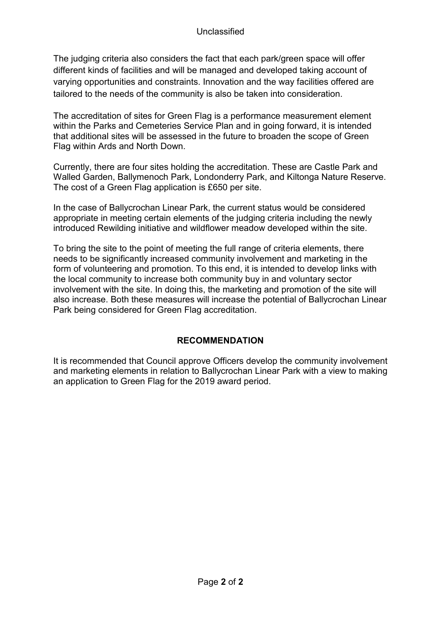The judging criteria also considers the fact that each park/green space will offer different kinds of facilities and will be managed and developed taking account of varying opportunities and constraints. Innovation and the way facilities offered are tailored to the needs of the community is also be taken into consideration.

The accreditation of sites for Green Flag is a performance measurement element within the Parks and Cemeteries Service Plan and in going forward, it is intended that additional sites will be assessed in the future to broaden the scope of Green Flag within Ards and North Down.

Currently, there are four sites holding the accreditation. These are Castle Park and Walled Garden, Ballymenoch Park, Londonderry Park, and Kiltonga Nature Reserve. The cost of a Green Flag application is £650 per site.

In the case of Ballycrochan Linear Park, the current status would be considered appropriate in meeting certain elements of the judging criteria including the newly introduced Rewilding initiative and wildflower meadow developed within the site.

To bring the site to the point of meeting the full range of criteria elements, there needs to be significantly increased community involvement and marketing in the form of volunteering and promotion. To this end, it is intended to develop links with the local community to increase both community buy in and voluntary sector involvement with the site. In doing this, the marketing and promotion of the site will also increase. Both these measures will increase the potential of Ballycrochan Linear Park being considered for Green Flag accreditation.

## **RECOMMENDATION**

It is recommended that Council approve Officers develop the community involvement and marketing elements in relation to Ballycrochan Linear Park with a view to making an application to Green Flag for the 2019 award period.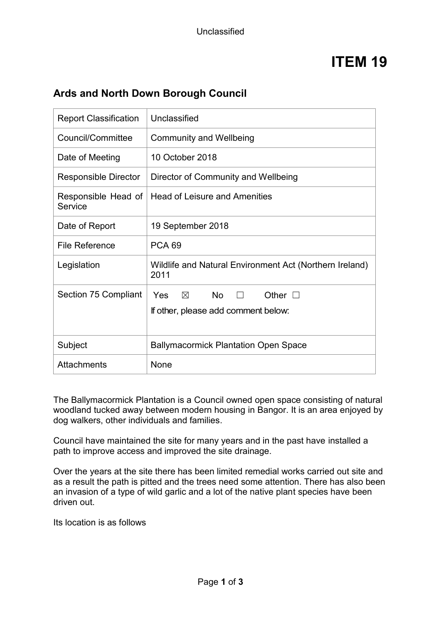# **Ards and North Down Borough Council**

| <b>Report Classification</b>   | Unclassified                                                                                          |  |
|--------------------------------|-------------------------------------------------------------------------------------------------------|--|
| Council/Committee              | <b>Community and Wellbeing</b>                                                                        |  |
| Date of Meeting                | 10 October 2018                                                                                       |  |
| <b>Responsible Director</b>    | Director of Community and Wellbeing                                                                   |  |
| Responsible Head of<br>Service | <b>Head of Leisure and Amenities</b>                                                                  |  |
| Date of Report                 | 19 September 2018                                                                                     |  |
| <b>File Reference</b>          | <b>PCA 69</b>                                                                                         |  |
| Legislation                    | Wildlife and Natural Environment Act (Northern Ireland)<br>2011                                       |  |
| Section 75 Compliant           | $\boxtimes$<br><b>No</b><br>Other $\square$<br><b>Yes</b><br>П<br>If other, please add comment below: |  |
| Subject                        | <b>Ballymacormick Plantation Open Space</b>                                                           |  |
| <b>Attachments</b>             | None                                                                                                  |  |

The Ballymacormick Plantation is a Council owned open space consisting of natural woodland tucked away between modern housing in Bangor. It is an area enjoyed by dog walkers, other individuals and families.

Council have maintained the site for many years and in the past have installed a path to improve access and improved the site drainage.

Over the years at the site there has been limited remedial works carried out site and as a result the path is pitted and the trees need some attention. There has also been an invasion of a type of wild garlic and a lot of the native plant species have been driven out.

Its location is as follows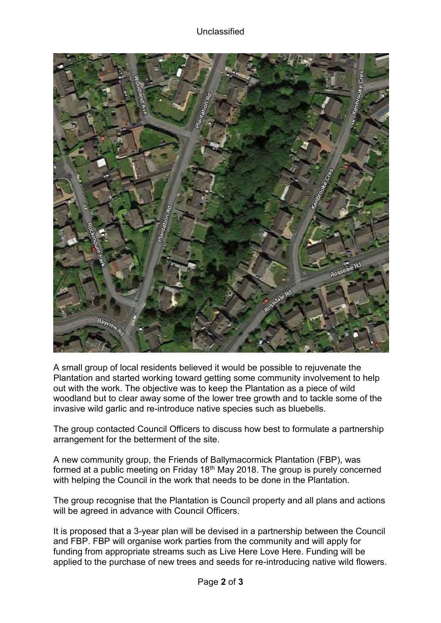

A small group of local residents believed it would be possible to rejuvenate the Plantation and started working toward getting some community involvement to help out with the work. The objective was to keep the Plantation as a piece of wild woodland but to clear away some of the lower tree growth and to tackle some of the invasive wild garlic and re-introduce native species such as bluebells.

The group contacted Council Officers to discuss how best to formulate a partnership arrangement for the betterment of the site.

A new community group, the Friends of Ballymacormick Plantation (FBP), was formed at a public meeting on Friday 18th May 2018. The group is purely concerned with helping the Council in the work that needs to be done in the Plantation.

The group recognise that the Plantation is Council property and all plans and actions will be agreed in advance with Council Officers.

It is proposed that a 3-year plan will be devised in a partnership between the Council and FBP. FBP will organise work parties from the community and will apply for funding from appropriate streams such as Live Here Love Here. Funding will be applied to the purchase of new trees and seeds for re-introducing native wild flowers.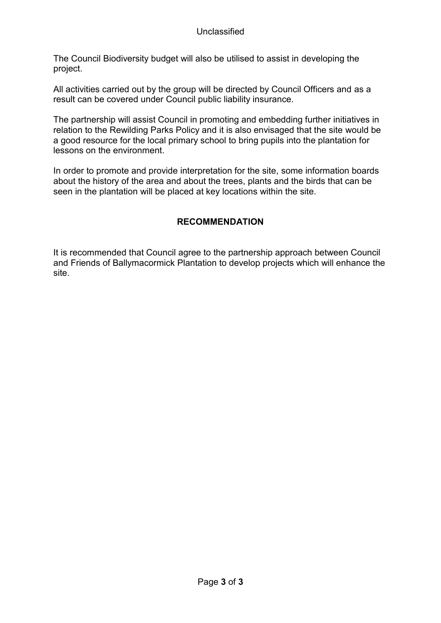The Council Biodiversity budget will also be utilised to assist in developing the project.

All activities carried out by the group will be directed by Council Officers and as a result can be covered under Council public liability insurance.

The partnership will assist Council in promoting and embedding further initiatives in relation to the Rewilding Parks Policy and it is also envisaged that the site would be a good resource for the local primary school to bring pupils into the plantation for lessons on the environment.

In order to promote and provide interpretation for the site, some information boards about the history of the area and about the trees, plants and the birds that can be seen in the plantation will be placed at key locations within the site.

# **RECOMMENDATION**

It is recommended that Council agree to the partnership approach between Council and Friends of Ballymacormick Plantation to develop projects which will enhance the site.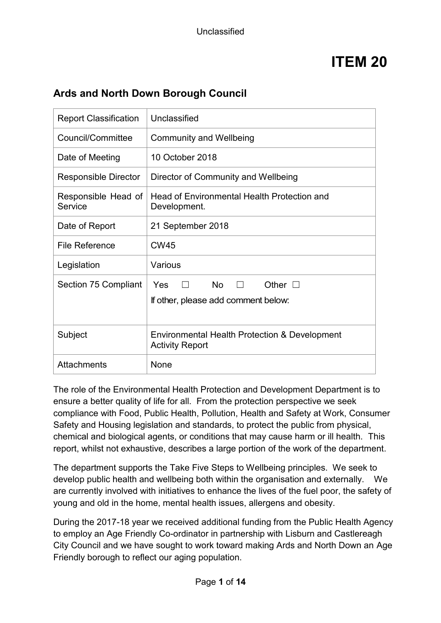| <b>Report Classification</b>   | Unclassified                                                                         |
|--------------------------------|--------------------------------------------------------------------------------------|
| Council/Committee              | <b>Community and Wellbeing</b>                                                       |
| Date of Meeting                | 10 October 2018                                                                      |
| <b>Responsible Director</b>    | Director of Community and Wellbeing                                                  |
| Responsible Head of<br>Service | Head of Environmental Health Protection and<br>Development.                          |
| Date of Report                 | 21 September 2018                                                                    |
| <b>File Reference</b>          | <b>CW45</b>                                                                          |
| Legislation                    | Various                                                                              |
| Section 75 Compliant           | <b>No</b><br>Yes<br>Other $\square$<br>$\Box$<br>If other, please add comment below: |
| Subject                        | Environmental Health Protection & Development<br><b>Activity Report</b>              |
| <b>Attachments</b>             | None                                                                                 |

# **Ards and North Down Borough Council**

The role of the Environmental Health Protection and Development Department is to ensure a better quality of life for all. From the protection perspective we seek compliance with Food, Public Health, Pollution, Health and Safety at Work, Consumer Safety and Housing legislation and standards, to protect the public from physical, chemical and biological agents, or conditions that may cause harm or ill health. This report, whilst not exhaustive, describes a large portion of the work of the department.

The department supports the Take Five Steps to Wellbeing principles. We seek to develop public health and wellbeing both within the organisation and externally. We are currently involved with initiatives to enhance the lives of the fuel poor, the safety of young and old in the home, mental health issues, allergens and obesity.

During the 2017-18 year we received additional funding from the Public Health Agency to employ an Age Friendly Co-ordinator in partnership with Lisburn and Castlereagh City Council and we have sought to work toward making Ards and North Down an Age Friendly borough to reflect our aging population.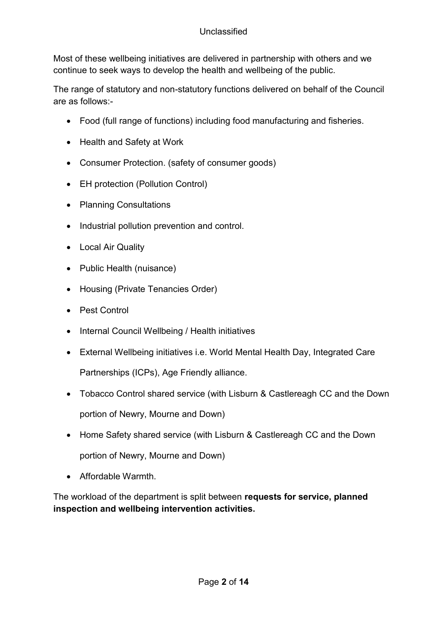Most of these wellbeing initiatives are delivered in partnership with others and we continue to seek ways to develop the health and wellbeing of the public.

The range of statutory and non-statutory functions delivered on behalf of the Council are as follows:-

- Food (full range of functions) including food manufacturing and fisheries.
- Health and Safety at Work
- Consumer Protection. (safety of consumer goods)
- EH protection (Pollution Control)
- Planning Consultations
- Industrial pollution prevention and control.
- Local Air Quality
- Public Health (nuisance)
- Housing (Private Tenancies Order)
- Pest Control
- Internal Council Wellbeing / Health initiatives
- External Wellbeing initiatives i.e. World Mental Health Day, Integrated Care Partnerships (ICPs), Age Friendly alliance.
- Tobacco Control shared service (with Lisburn & Castlereagh CC and the Down portion of Newry, Mourne and Down)
- Home Safety shared service (with Lisburn & Castlereagh CC and the Down portion of Newry, Mourne and Down)
- Affordable Warmth.

The workload of the department is split between **requests for service, planned inspection and wellbeing intervention activities.**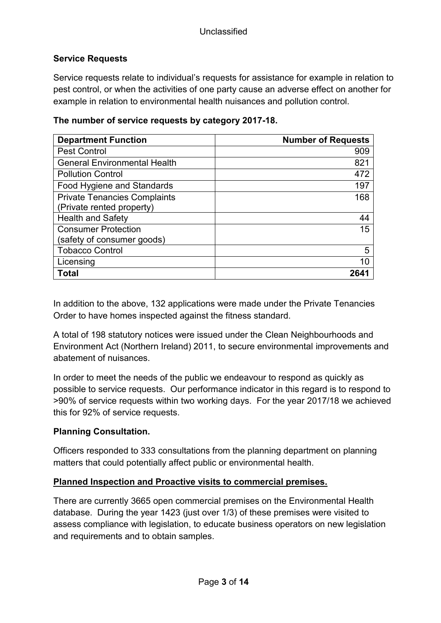## **Service Requests**

Service requests relate to individual's requests for assistance for example in relation to pest control, or when the activities of one party cause an adverse effect on another for example in relation to environmental health nuisances and pollution control.

| <b>Department Function</b>          | <b>Number of Requests</b> |
|-------------------------------------|---------------------------|
| <b>Pest Control</b>                 | 909                       |
| <b>General Environmental Health</b> | 821                       |
| <b>Pollution Control</b>            | 472                       |
| Food Hygiene and Standards          | 197                       |
| <b>Private Tenancies Complaints</b> | 168                       |
| (Private rented property)           |                           |
| <b>Health and Safety</b>            | 44                        |
| <b>Consumer Protection</b>          | 15                        |
| (safety of consumer goods)          |                           |
| <b>Tobacco Control</b>              | 5                         |
| Licensing                           | 10                        |
| Total                               |                           |

### **The number of service requests by category 2017-18.**

In addition to the above, 132 applications were made under the Private Tenancies Order to have homes inspected against the fitness standard.

A total of 198 statutory notices were issued under the Clean Neighbourhoods and Environment Act (Northern Ireland) 2011, to secure environmental improvements and abatement of nuisances.

In order to meet the needs of the public we endeavour to respond as quickly as possible to service requests. Our performance indicator in this regard is to respond to >90% of service requests within two working days. For the year 2017/18 we achieved this for 92% of service requests.

## **Planning Consultation.**

Officers responded to 333 consultations from the planning department on planning matters that could potentially affect public or environmental health.

## **Planned Inspection and Proactive visits to commercial premises.**

There are currently 3665 open commercial premises on the Environmental Health database. During the year 1423 (just over 1/3) of these premises were visited to assess compliance with legislation, to educate business operators on new legislation and requirements and to obtain samples.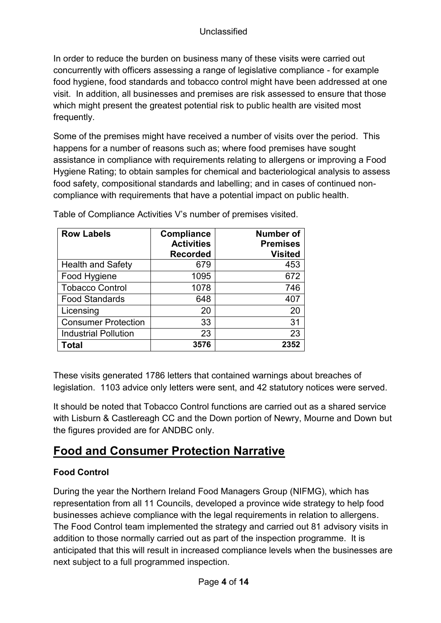In order to reduce the burden on business many of these visits were carried out concurrently with officers assessing a range of legislative compliance - for example food hygiene, food standards and tobacco control might have been addressed at one visit. In addition, all businesses and premises are risk assessed to ensure that those which might present the greatest potential risk to public health are visited most frequently.

Some of the premises might have received a number of visits over the period. This happens for a number of reasons such as; where food premises have sought assistance in compliance with requirements relating to allergens or improving a Food Hygiene Rating; to obtain samples for chemical and bacteriological analysis to assess food safety, compositional standards and labelling; and in cases of continued noncompliance with requirements that have a potential impact on public health.

| <b>Row Labels</b>           | Compliance<br><b>Activities</b><br><b>Recorded</b> | <b>Number of</b><br><b>Premises</b><br><b>Visited</b> |
|-----------------------------|----------------------------------------------------|-------------------------------------------------------|
| <b>Health and Safety</b>    | 679                                                | 453                                                   |
| Food Hygiene                | 1095                                               | 672                                                   |
| <b>Tobacco Control</b>      | 1078                                               | 746                                                   |
| <b>Food Standards</b>       | 648                                                | 407                                                   |
| Licensing                   | 20                                                 | 20                                                    |
| <b>Consumer Protection</b>  | 33                                                 | 31                                                    |
| <b>Industrial Pollution</b> | 23                                                 | 23                                                    |
| Total                       | 3576                                               | 2352                                                  |

Table of Compliance Activities V's number of premises visited.

These visits generated 1786 letters that contained warnings about breaches of legislation. 1103 advice only letters were sent, and 42 statutory notices were served.

It should be noted that Tobacco Control functions are carried out as a shared service with Lisburn & Castlereagh CC and the Down portion of Newry, Mourne and Down but the figures provided are for ANDBC only.

# **Food and Consumer Protection Narrative**

# **Food Control**

During the year the Northern Ireland Food Managers Group (NIFMG), which has representation from all 11 Councils, developed a province wide strategy to help food businesses achieve compliance with the legal requirements in relation to allergens. The Food Control team implemented the strategy and carried out 81 advisory visits in addition to those normally carried out as part of the inspection programme. It is anticipated that this will result in increased compliance levels when the businesses are next subject to a full programmed inspection.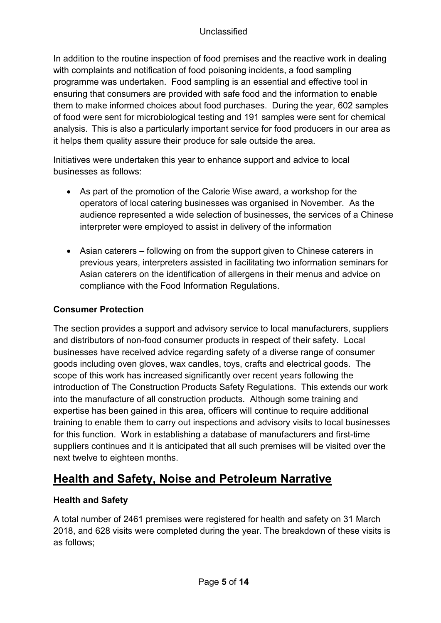## Unclassified

In addition to the routine inspection of food premises and the reactive work in dealing with complaints and notification of food poisoning incidents, a food sampling programme was undertaken. Food sampling is an essential and effective tool in ensuring that consumers are provided with safe food and the information to enable them to make informed choices about food purchases. During the year, 602 samples of food were sent for microbiological testing and 191 samples were sent for chemical analysis. This is also a particularly important service for food producers in our area as it helps them quality assure their produce for sale outside the area.

Initiatives were undertaken this year to enhance support and advice to local businesses as follows:

- As part of the promotion of the Calorie Wise award, a workshop for the operators of local catering businesses was organised in November. As the audience represented a wide selection of businesses, the services of a Chinese interpreter were employed to assist in delivery of the information
- Asian caterers following on from the support given to Chinese caterers in previous years, interpreters assisted in facilitating two information seminars for Asian caterers on the identification of allergens in their menus and advice on compliance with the Food Information Regulations.

# **Consumer Protection**

The section provides a support and advisory service to local manufacturers, suppliers and distributors of non-food consumer products in respect of their safety. Local businesses have received advice regarding safety of a diverse range of consumer goods including oven gloves, wax candles, toys, crafts and electrical goods. The scope of this work has increased significantly over recent years following the introduction of The Construction Products Safety Regulations. This extends our work into the manufacture of all construction products. Although some training and expertise has been gained in this area, officers will continue to require additional training to enable them to carry out inspections and advisory visits to local businesses for this function. Work in establishing a database of manufacturers and first-time suppliers continues and it is anticipated that all such premises will be visited over the next twelve to eighteen months.

# **Health and Safety, Noise and Petroleum Narrative**

## **Health and Safety**

A total number of 2461 premises were registered for health and safety on 31 March 2018, and 628 visits were completed during the year. The breakdown of these visits is as follows;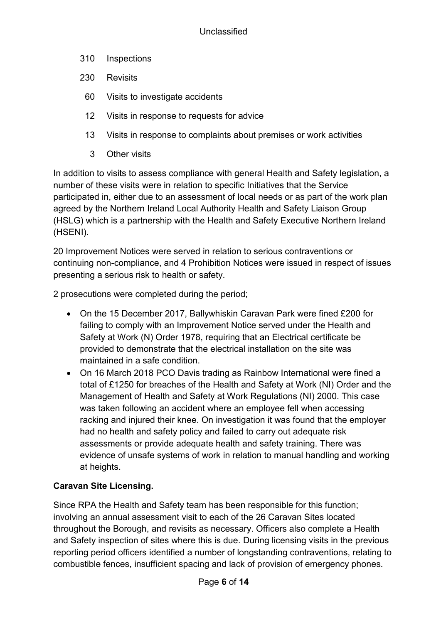- 310 Inspections
- 230 Revisits
	- 60 Visits to investigate accidents
	- 12 Visits in response to requests for advice
	- 13 Visits in response to complaints about premises or work activities
		- 3 Other visits

In addition to visits to assess compliance with general Health and Safety legislation, a number of these visits were in relation to specific Initiatives that the Service participated in, either due to an assessment of local needs or as part of the work plan agreed by the Northern Ireland Local Authority Health and Safety Liaison Group (HSLG) which is a partnership with the Health and Safety Executive Northern Ireland (HSENI).

20 Improvement Notices were served in relation to serious contraventions or continuing non-compliance, and 4 Prohibition Notices were issued in respect of issues presenting a serious risk to health or safety.

2 prosecutions were completed during the period;

- On the 15 December 2017, Ballywhiskin Caravan Park were fined £200 for failing to comply with an Improvement Notice served under the Health and Safety at Work (N) Order 1978, requiring that an Electrical certificate be provided to demonstrate that the electrical installation on the site was maintained in a safe condition.
- On 16 March 2018 PCO Davis trading as Rainbow International were fined a total of £1250 for breaches of the Health and Safety at Work (NI) Order and the Management of Health and Safety at Work Regulations (NI) 2000. This case was taken following an accident where an employee fell when accessing racking and injured their knee. On investigation it was found that the employer had no health and safety policy and failed to carry out adequate risk assessments or provide adequate health and safety training. There was evidence of unsafe systems of work in relation to manual handling and working at heights.

# **Caravan Site Licensing.**

Since RPA the Health and Safety team has been responsible for this function; involving an annual assessment visit to each of the 26 Caravan Sites located throughout the Borough, and revisits as necessary. Officers also complete a Health and Safety inspection of sites where this is due. During licensing visits in the previous reporting period officers identified a number of longstanding contraventions, relating to combustible fences, insufficient spacing and lack of provision of emergency phones.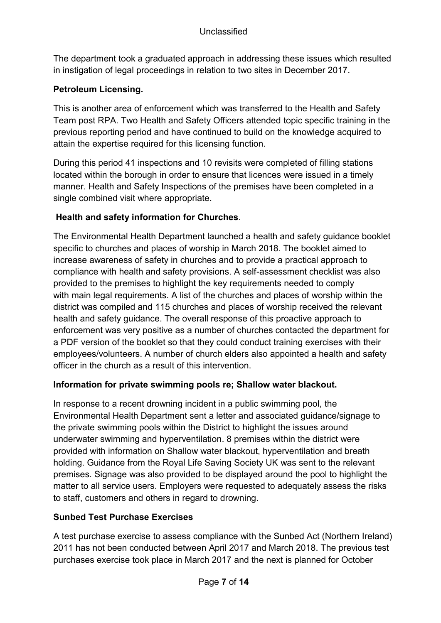The department took a graduated approach in addressing these issues which resulted in instigation of legal proceedings in relation to two sites in December 2017.

## **Petroleum Licensing.**

This is another area of enforcement which was transferred to the Health and Safety Team post RPA. Two Health and Safety Officers attended topic specific training in the previous reporting period and have continued to build on the knowledge acquired to attain the expertise required for this licensing function.

During this period 41 inspections and 10 revisits were completed of filling stations located within the borough in order to ensure that licences were issued in a timely manner. Health and Safety Inspections of the premises have been completed in a single combined visit where appropriate.

## **Health and safety information for Churches**.

The Environmental Health Department launched a health and safety guidance booklet specific to churches and places of worship in March 2018. The booklet aimed to increase awareness of safety in churches and to provide a practical approach to compliance with health and safety provisions. A self-assessment checklist was also provided to the premises to highlight the key requirements needed to comply with main legal requirements. A list of the churches and places of worship within the district was compiled and 115 churches and places of worship received the relevant health and safety guidance. The overall response of this proactive approach to enforcement was very positive as a number of churches contacted the department for a PDF version of the booklet so that they could conduct training exercises with their employees/volunteers. A number of church elders also appointed a health and safety officer in the church as a result of this intervention.

## **Information for private swimming pools re; Shallow water blackout.**

In response to a recent drowning incident in a public swimming pool, the Environmental Health Department sent a letter and associated guidance/signage to the private swimming pools within the District to highlight the issues around underwater swimming and hyperventilation. 8 premises within the district were provided with information on Shallow water blackout, hyperventilation and breath holding. Guidance from the Royal Life Saving Society UK was sent to the relevant premises. Signage was also provided to be displayed around the pool to highlight the matter to all service users. Employers were requested to adequately assess the risks to staff, customers and others in regard to drowning.

# **Sunbed Test Purchase Exercises**

A test purchase exercise to assess compliance with the Sunbed Act (Northern Ireland) 2011 has not been conducted between April 2017 and March 2018. The previous test purchases exercise took place in March 2017 and the next is planned for October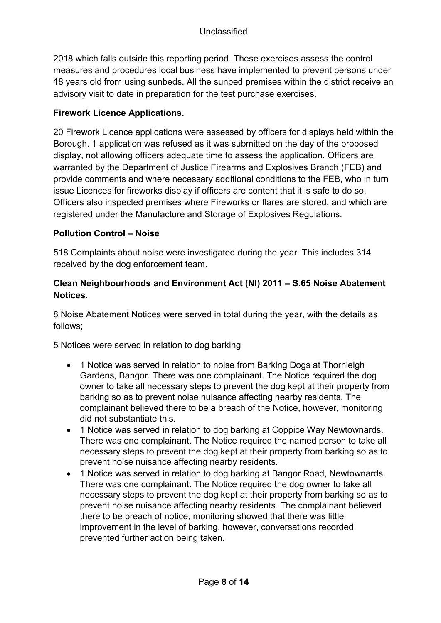2018 which falls outside this reporting period. These exercises assess the control measures and procedures local business have implemented to prevent persons under 18 years old from using sunbeds. All the sunbed premises within the district receive an advisory visit to date in preparation for the test purchase exercises.

## **Firework Licence Applications.**

20 Firework Licence applications were assessed by officers for displays held within the Borough. 1 application was refused as it was submitted on the day of the proposed display, not allowing officers adequate time to assess the application. Officers are warranted by the Department of Justice Firearms and Explosives Branch (FEB) and provide comments and where necessary additional conditions to the FEB, who in turn issue Licences for fireworks display if officers are content that it is safe to do so. Officers also inspected premises where Fireworks or flares are stored, and which are registered under the Manufacture and Storage of Explosives Regulations.

## **Pollution Control – Noise**

518 Complaints about noise were investigated during the year. This includes 314 received by the dog enforcement team.

## **Clean Neighbourhoods and Environment Act (NI) 2011 – S.65 Noise Abatement Notices.**

8 Noise Abatement Notices were served in total during the year, with the details as follows;

5 Notices were served in relation to dog barking

- 1 Notice was served in relation to noise from Barking Dogs at Thornleigh Gardens, Bangor. There was one complainant. The Notice required the dog owner to take all necessary steps to prevent the dog kept at their property from barking so as to prevent noise nuisance affecting nearby residents. The complainant believed there to be a breach of the Notice, however, monitoring did not substantiate this.
- 1 Notice was served in relation to dog barking at Coppice Way Newtownards. There was one complainant. The Notice required the named person to take all necessary steps to prevent the dog kept at their property from barking so as to prevent noise nuisance affecting nearby residents.
- 1 Notice was served in relation to dog barking at Bangor Road, Newtownards. There was one complainant. The Notice required the dog owner to take all necessary steps to prevent the dog kept at their property from barking so as to prevent noise nuisance affecting nearby residents. The complainant believed there to be breach of notice, monitoring showed that there was little improvement in the level of barking, however, conversations recorded prevented further action being taken.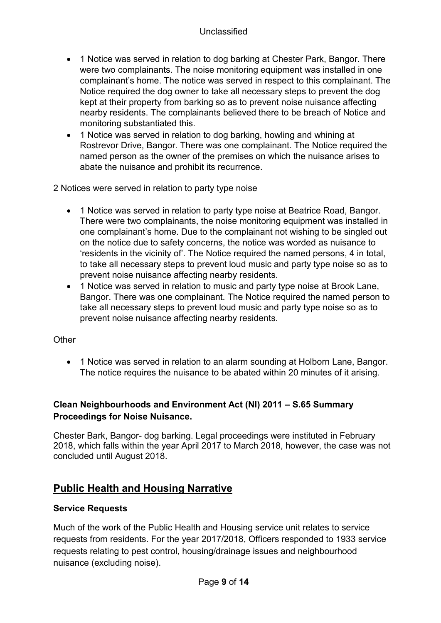- 1 Notice was served in relation to dog barking at Chester Park, Bangor. There were two complainants. The noise monitoring equipment was installed in one complainant's home. The notice was served in respect to this complainant. The Notice required the dog owner to take all necessary steps to prevent the dog kept at their property from barking so as to prevent noise nuisance affecting nearby residents. The complainants believed there to be breach of Notice and monitoring substantiated this.
- 1 Notice was served in relation to dog barking, howling and whining at Rostrevor Drive, Bangor. There was one complainant. The Notice required the named person as the owner of the premises on which the nuisance arises to abate the nuisance and prohibit its recurrence.

2 Notices were served in relation to party type noise

- 1 Notice was served in relation to party type noise at Beatrice Road, Bangor. There were two complainants, the noise monitoring equipment was installed in one complainant's home. Due to the complainant not wishing to be singled out on the notice due to safety concerns, the notice was worded as nuisance to 'residents in the vicinity of'. The Notice required the named persons, 4 in total, to take all necessary steps to prevent loud music and party type noise so as to prevent noise nuisance affecting nearby residents.
- 1 Notice was served in relation to music and party type noise at Brook Lane, Bangor. There was one complainant. The Notice required the named person to take all necessary steps to prevent loud music and party type noise so as to prevent noise nuisance affecting nearby residents.

## **Other**

• 1 Notice was served in relation to an alarm sounding at Holborn Lane, Bangor. The notice requires the nuisance to be abated within 20 minutes of it arising.

## **Clean Neighbourhoods and Environment Act (NI) 2011 – S.65 Summary Proceedings for Noise Nuisance.**

Chester Bark, Bangor- dog barking. Legal proceedings were instituted in February 2018, which falls within the year April 2017 to March 2018, however, the case was not concluded until August 2018.

# **Public Health and Housing Narrative**

## **Service Requests**

Much of the work of the Public Health and Housing service unit relates to service requests from residents. For the year 2017/2018, Officers responded to 1933 service requests relating to pest control, housing/drainage issues and neighbourhood nuisance (excluding noise).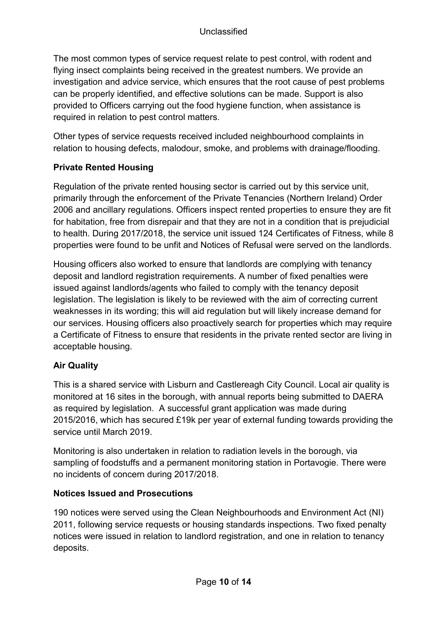The most common types of service request relate to pest control, with rodent and flying insect complaints being received in the greatest numbers. We provide an investigation and advice service, which ensures that the root cause of pest problems can be properly identified, and effective solutions can be made. Support is also provided to Officers carrying out the food hygiene function, when assistance is required in relation to pest control matters.

Other types of service requests received included neighbourhood complaints in relation to housing defects, malodour, smoke, and problems with drainage/flooding.

# **Private Rented Housing**

Regulation of the private rented housing sector is carried out by this service unit, primarily through the enforcement of the Private Tenancies (Northern Ireland) Order 2006 and ancillary regulations. Officers inspect rented properties to ensure they are fit for habitation, free from disrepair and that they are not in a condition that is prejudicial to health. During 2017/2018, the service unit issued 124 Certificates of Fitness, while 8 properties were found to be unfit and Notices of Refusal were served on the landlords.

Housing officers also worked to ensure that landlords are complying with tenancy deposit and landlord registration requirements. A number of fixed penalties were issued against landlords/agents who failed to comply with the tenancy deposit legislation. The legislation is likely to be reviewed with the aim of correcting current weaknesses in its wording; this will aid regulation but will likely increase demand for our services. Housing officers also proactively search for properties which may require a Certificate of Fitness to ensure that residents in the private rented sector are living in acceptable housing.

# **Air Quality**

This is a shared service with Lisburn and Castlereagh City Council. Local air quality is monitored at 16 sites in the borough, with annual reports being submitted to DAERA as required by legislation. A successful grant application was made during 2015/2016, which has secured £19k per year of external funding towards providing the service until March 2019.

Monitoring is also undertaken in relation to radiation levels in the borough, via sampling of foodstuffs and a permanent monitoring station in Portavogie. There were no incidents of concern during 2017/2018.

# **Notices Issued and Prosecutions**

190 notices were served using the Clean Neighbourhoods and Environment Act (NI) 2011, following service requests or housing standards inspections. Two fixed penalty notices were issued in relation to landlord registration, and one in relation to tenancy deposits.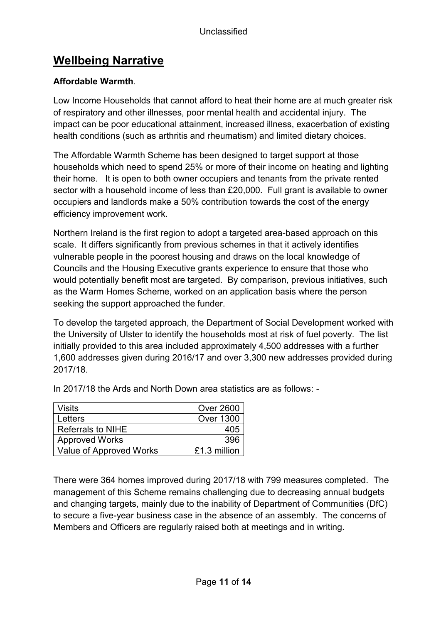# **Wellbeing Narrative**

# **Affordable Warmth**.

Low Income Households that cannot afford to heat their home are at much greater risk of respiratory and other illnesses, poor mental health and accidental injury. The impact can be poor educational attainment, increased illness, exacerbation of existing health conditions (such as arthritis and rheumatism) and limited dietary choices.

The Affordable Warmth Scheme has been designed to target support at those households which need to spend 25% or more of their income on heating and lighting their home. It is open to both owner occupiers and tenants from the private rented sector with a household income of less than £20,000. Full grant is available to owner occupiers and landlords make a 50% contribution towards the cost of the energy efficiency improvement work.

Northern Ireland is the first region to adopt a targeted area-based approach on this scale. It differs significantly from previous schemes in that it actively identifies vulnerable people in the poorest housing and draws on the local knowledge of Councils and the Housing Executive grants experience to ensure that those who would potentially benefit most are targeted. By comparison, previous initiatives, such as the Warm Homes Scheme, worked on an application basis where the person seeking the support approached the funder.

To develop the targeted approach, the Department of Social Development worked with the University of Ulster to identify the households most at risk of fuel poverty. The list initially provided to this area included approximately 4,500 addresses with a further 1,600 addresses given during 2016/17 and over 3,300 new addresses provided during 2017/18.

| <b>Visits</b>            | <b>Over 2600</b> |
|--------------------------|------------------|
| Letters                  | <b>Over 1300</b> |
| <b>Referrals to NIHE</b> | 405              |
| <b>Approved Works</b>    | 396              |
| Value of Approved Works  | £1.3 million     |

In 2017/18 the Ards and North Down area statistics are as follows: -

There were 364 homes improved during 2017/18 with 799 measures completed. The management of this Scheme remains challenging due to decreasing annual budgets and changing targets, mainly due to the inability of Department of Communities (DfC) to secure a five-year business case in the absence of an assembly. The concerns of Members and Officers are regularly raised both at meetings and in writing.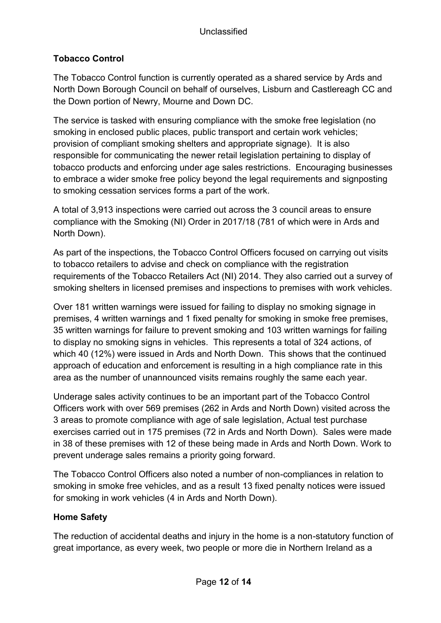# **Tobacco Control**

The Tobacco Control function is currently operated as a shared service by Ards and North Down Borough Council on behalf of ourselves, Lisburn and Castlereagh CC and the Down portion of Newry, Mourne and Down DC.

The service is tasked with ensuring compliance with the smoke free legislation (no smoking in enclosed public places, public transport and certain work vehicles; provision of compliant smoking shelters and appropriate signage). It is also responsible for communicating the newer retail legislation pertaining to display of tobacco products and enforcing under age sales restrictions. Encouraging businesses to embrace a wider smoke free policy beyond the legal requirements and signposting to smoking cessation services forms a part of the work.

A total of 3,913 inspections were carried out across the 3 council areas to ensure compliance with the Smoking (NI) Order in 2017/18 (781 of which were in Ards and North Down).

As part of the inspections, the Tobacco Control Officers focused on carrying out visits to tobacco retailers to advise and check on compliance with the registration requirements of the Tobacco Retailers Act (NI) 2014. They also carried out a survey of smoking shelters in licensed premises and inspections to premises with work vehicles.

Over 181 written warnings were issued for failing to display no smoking signage in premises, 4 written warnings and 1 fixed penalty for smoking in smoke free premises, 35 written warnings for failure to prevent smoking and 103 written warnings for failing to display no smoking signs in vehicles. This represents a total of 324 actions, of which 40 (12%) were issued in Ards and North Down. This shows that the continued approach of education and enforcement is resulting in a high compliance rate in this area as the number of unannounced visits remains roughly the same each year.

Underage sales activity continues to be an important part of the Tobacco Control Officers work with over 569 premises (262 in Ards and North Down) visited across the 3 areas to promote compliance with age of sale legislation, Actual test purchase exercises carried out in 175 premises (72 in Ards and North Down). Sales were made in 38 of these premises with 12 of these being made in Ards and North Down. Work to prevent underage sales remains a priority going forward.

The Tobacco Control Officers also noted a number of non-compliances in relation to smoking in smoke free vehicles, and as a result 13 fixed penalty notices were issued for smoking in work vehicles (4 in Ards and North Down).

## **Home Safety**

The reduction of accidental deaths and injury in the home is a non-statutory function of great importance, as every week, two people or more die in Northern Ireland as a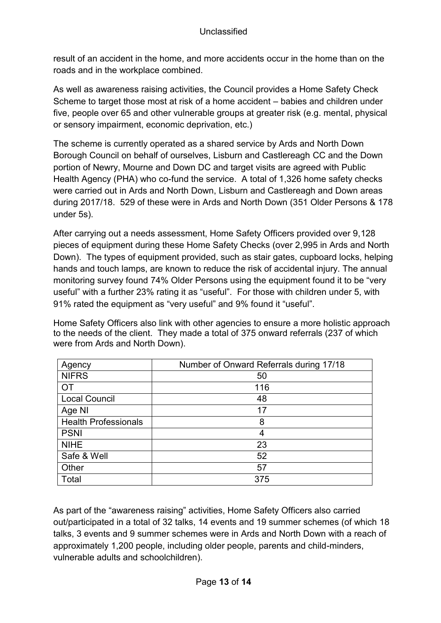result of an accident in the home, and more accidents occur in the home than on the roads and in the workplace combined.

As well as awareness raising activities, the Council provides a Home Safety Check Scheme to target those most at risk of a home accident – babies and children under five, people over 65 and other vulnerable groups at greater risk (e.g. mental, physical or sensory impairment, economic deprivation, etc.)

The scheme is currently operated as a shared service by Ards and North Down Borough Council on behalf of ourselves, Lisburn and Castlereagh CC and the Down portion of Newry, Mourne and Down DC and target visits are agreed with Public Health Agency (PHA) who co-fund the service. A total of 1,326 home safety checks were carried out in Ards and North Down, Lisburn and Castlereagh and Down areas during 2017/18. 529 of these were in Ards and North Down (351 Older Persons & 178 under 5s).

After carrying out a needs assessment, Home Safety Officers provided over 9,128 pieces of equipment during these Home Safety Checks (over 2,995 in Ards and North Down). The types of equipment provided, such as stair gates, cupboard locks, helping hands and touch lamps, are known to reduce the risk of accidental injury. The annual monitoring survey found 74% Older Persons using the equipment found it to be "very useful" with a further 23% rating it as "useful". For those with children under 5, with 91% rated the equipment as "very useful" and 9% found it "useful".

Home Safety Officers also link with other agencies to ensure a more holistic approach to the needs of the client. They made a total of 375 onward referrals (237 of which were from Ards and North Down).

| Agency                      | Number of Onward Referrals during 17/18 |
|-----------------------------|-----------------------------------------|
| <b>NIFRS</b>                | 50                                      |
| OT                          | 116                                     |
| <b>Local Council</b>        | 48                                      |
| Age NI                      | 17                                      |
| <b>Health Professionals</b> | 8                                       |
| <b>PSNI</b>                 | 4                                       |
| <b>NIHE</b>                 | 23                                      |
| Safe & Well                 | 52                                      |
| Other                       | 57                                      |
| Total                       | 375                                     |

As part of the "awareness raising" activities, Home Safety Officers also carried out/participated in a total of 32 talks, 14 events and 19 summer schemes (of which 18 talks, 3 events and 9 summer schemes were in Ards and North Down with a reach of approximately 1,200 people, including older people, parents and child-minders, vulnerable adults and schoolchildren).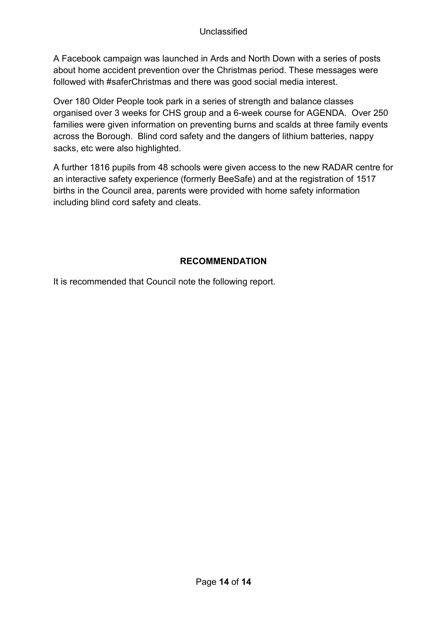A Facebook campaign was launched in Ards and North Down with a series of posts about home accident prevention over the Christmas period. These messages were followed with #saferChristmas and there was good social media interest.

Over 180 Older People took park in a series of strength and balance classes organised over 3 weeks for CHS group and a 6-week course for AGENDA. Over 250 families were given information on preventing burns and scalds at three family events across the Borough. Blind cord safety and the dangers of lithium batteries, nappy sacks, etc were also highlighted.

A further 1816 pupils from 48 schools were given access to the new RADAR centre for an interactive safety experience (formerly BeeSafe) and at the registration of 1517 births in the Council area, parents were provided with home safety information including blind cord safety and cleats.

# **RECOMMENDATION**

It is recommended that Council note the following report.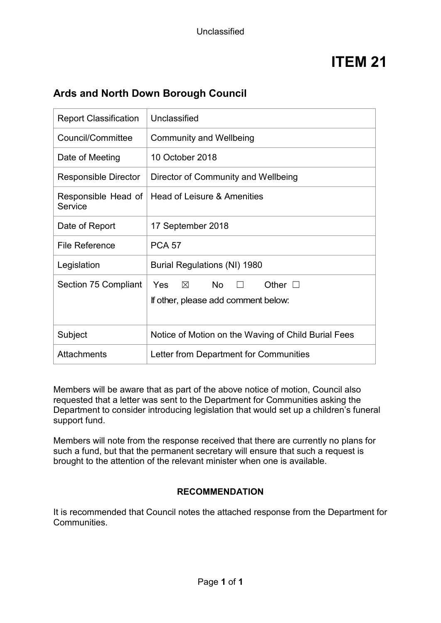# **Ards and North Down Borough Council**

| <b>Report Classification</b>   | Unclassified                                                                                |  |
|--------------------------------|---------------------------------------------------------------------------------------------|--|
| Council/Committee              | <b>Community and Wellbeing</b>                                                              |  |
| Date of Meeting                | 10 October 2018                                                                             |  |
| <b>Responsible Director</b>    | Director of Community and Wellbeing                                                         |  |
| Responsible Head of<br>Service | Head of Leisure & Amenities                                                                 |  |
| Date of Report                 | 17 September 2018                                                                           |  |
| <b>File Reference</b>          | <b>PCA 57</b>                                                                               |  |
| Legislation                    | Burial Regulations (NI) 1980                                                                |  |
| Section 75 Compliant           | No l<br>Other $\square$<br>Yes<br>$\times$<br>$\Box$<br>If other, please add comment below: |  |
| Subject                        | Notice of Motion on the Waving of Child Burial Fees                                         |  |
| <b>Attachments</b>             | Letter from Department for Communities                                                      |  |

Members will be aware that as part of the above notice of motion, Council also requested that a letter was sent to the Department for Communities asking the Department to consider introducing legislation that would set up a children's funeral support fund.

Members will note from the response received that there are currently no plans for such a fund, but that the permanent secretary will ensure that such a request is brought to the attention of the relevant minister when one is available.

## **RECOMMENDATION**

It is recommended that Council notes the attached response from the Department for Communities.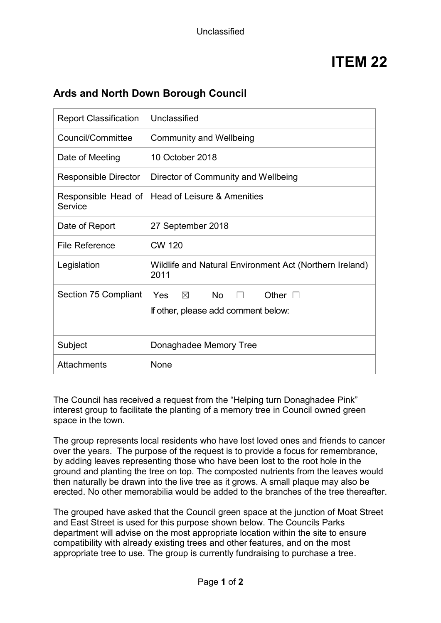# **Ards and North Down Borough Council**

| <b>Report Classification</b>   | Unclassified                                                                                         |  |
|--------------------------------|------------------------------------------------------------------------------------------------------|--|
| Council/Committee              | <b>Community and Wellbeing</b>                                                                       |  |
| Date of Meeting                | 10 October 2018                                                                                      |  |
| <b>Responsible Director</b>    | Director of Community and Wellbeing                                                                  |  |
| Responsible Head of<br>Service | Head of Leisure & Amenities                                                                          |  |
| Date of Report                 | 27 September 2018                                                                                    |  |
| <b>File Reference</b>          | <b>CW 120</b>                                                                                        |  |
| Legislation                    | Wildlife and Natural Environment Act (Northern Ireland)<br>2011                                      |  |
| Section 75 Compliant           | <b>No</b><br>Yes<br>$\boxtimes$<br>Other $\square$<br>$\perp$<br>If other, please add comment below: |  |
| Subject                        | Donaghadee Memory Tree                                                                               |  |
| Attachments                    | None                                                                                                 |  |

The Council has received a request from the "Helping turn Donaghadee Pink" interest group to facilitate the planting of a memory tree in Council owned green space in the town.

The group represents local residents who have lost loved ones and friends to cancer over the years. The purpose of the request is to provide a focus for remembrance, by adding leaves representing those who have been lost to the root hole in the ground and planting the tree on top. The composted nutrients from the leaves would then naturally be drawn into the live tree as it grows. A small plaque may also be erected. No other memorabilia would be added to the branches of the tree thereafter.

The grouped have asked that the Council green space at the junction of Moat Street and East Street is used for this purpose shown below. The Councils Parks department will advise on the most appropriate location within the site to ensure compatibility with already existing trees and other features, and on the most appropriate tree to use. The group is currently fundraising to purchase a tree.